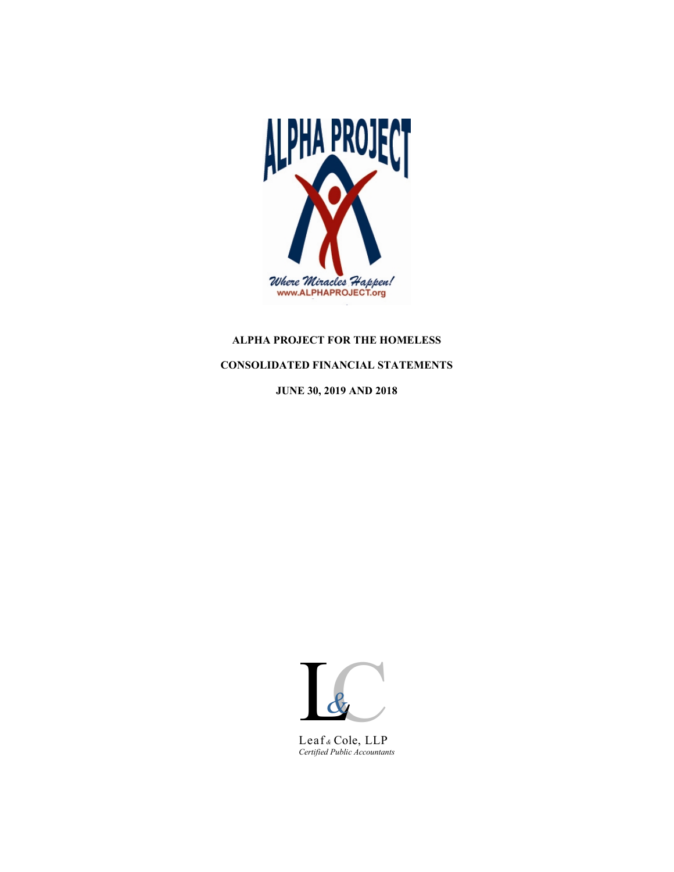

### **ALPHA PROJECT FOR THE HOMELESS**

**CONSOLIDATED FINANCIAL STATEMENTS**

**JUNE 30, 2019 AND 2018**



*Certified Public Accountants* Leaf *&* Cole, LLP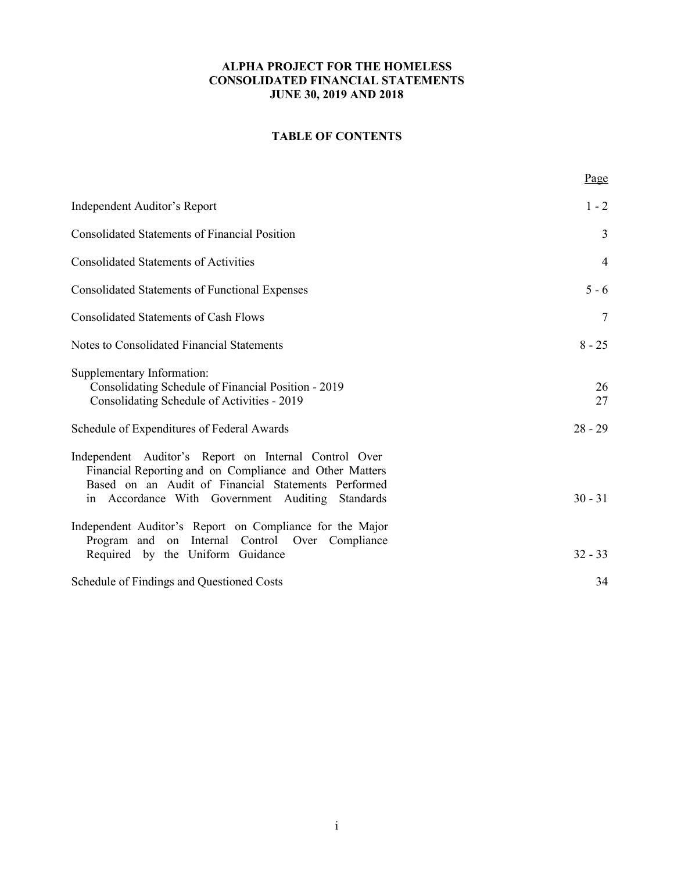# **TABLE OF CONTENTS**

Page

| Independent Auditor's Report                                                                                                                                                                                                | $1 - 2$        |
|-----------------------------------------------------------------------------------------------------------------------------------------------------------------------------------------------------------------------------|----------------|
| <b>Consolidated Statements of Financial Position</b>                                                                                                                                                                        | $\overline{3}$ |
| <b>Consolidated Statements of Activities</b>                                                                                                                                                                                | $\overline{4}$ |
| <b>Consolidated Statements of Functional Expenses</b>                                                                                                                                                                       | $5 - 6$        |
| Consolidated Statements of Cash Flows                                                                                                                                                                                       | $\tau$         |
| Notes to Consolidated Financial Statements                                                                                                                                                                                  | $8 - 25$       |
| Supplementary Information:<br>Consolidating Schedule of Financial Position - 2019<br>Consolidating Schedule of Activities - 2019                                                                                            | 26<br>27       |
| Schedule of Expenditures of Federal Awards                                                                                                                                                                                  | $28 - 29$      |
| Independent Auditor's Report on Internal Control Over<br>Financial Reporting and on Compliance and Other Matters<br>Based on an Audit of Financial Statements Performed<br>in Accordance With Government Auditing Standards | $30 - 31$      |
| Independent Auditor's Report on Compliance for the Major<br>Program and on Internal Control Over Compliance<br>Required by the Uniform Guidance                                                                             | $32 - 33$      |
| Schedule of Findings and Questioned Costs                                                                                                                                                                                   | 34             |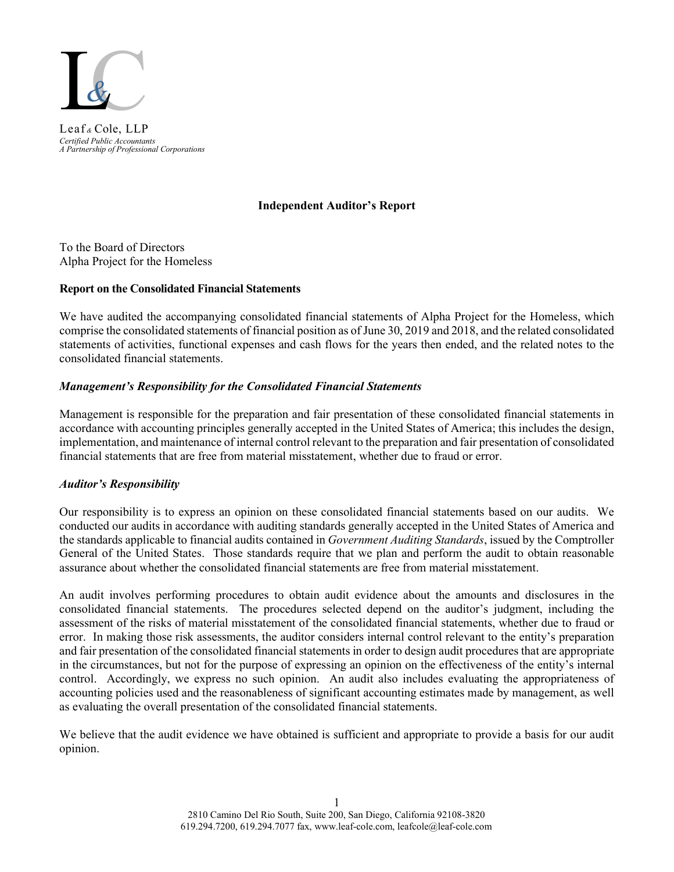

*Certified Public Accountants A Partnership of Professional Corporations* Leaf *&* Cole, LLP

### **Independent Auditor's Report**

To the Board of Directors Alpha Project for the Homeless

#### **Report on the Consolidated Financial Statements**

We have audited the accompanying consolidated financial statements of Alpha Project for the Homeless, which comprise the consolidated statements of financial position as of June 30, 2019 and 2018, and the related consolidated statements of activities, functional expenses and cash flows for the years then ended, and the related notes to the consolidated financial statements.

#### *Management's Responsibility for the Consolidated Financial Statements*

Management is responsible for the preparation and fair presentation of these consolidated financial statements in accordance with accounting principles generally accepted in the United States of America; this includes the design, implementation, and maintenance of internal control relevant to the preparation and fair presentation of consolidated financial statements that are free from material misstatement, whether due to fraud or error.

#### *Auditor's Responsibility*

Our responsibility is to express an opinion on these consolidated financial statements based on our audits. We conducted our audits in accordance with auditing standards generally accepted in the United States of America and the standards applicable to financial audits contained in *Government Auditing Standards*, issued by the Comptroller General of the United States. Those standards require that we plan and perform the audit to obtain reasonable assurance about whether the consolidated financial statements are free from material misstatement.

An audit involves performing procedures to obtain audit evidence about the amounts and disclosures in the consolidated financial statements. The procedures selected depend on the auditor's judgment, including the assessment of the risks of material misstatement of the consolidated financial statements, whether due to fraud or error. In making those risk assessments, the auditor considers internal control relevant to the entity's preparation and fair presentation of the consolidated financial statements in order to design audit procedures that are appropriate in the circumstances, but not for the purpose of expressing an opinion on the effectiveness of the entity's internal control. Accordingly, we express no such opinion. An audit also includes evaluating the appropriateness of accounting policies used and the reasonableness of significant accounting estimates made by management, as well as evaluating the overall presentation of the consolidated financial statements.

We believe that the audit evidence we have obtained is sufficient and appropriate to provide a basis for our audit opinion.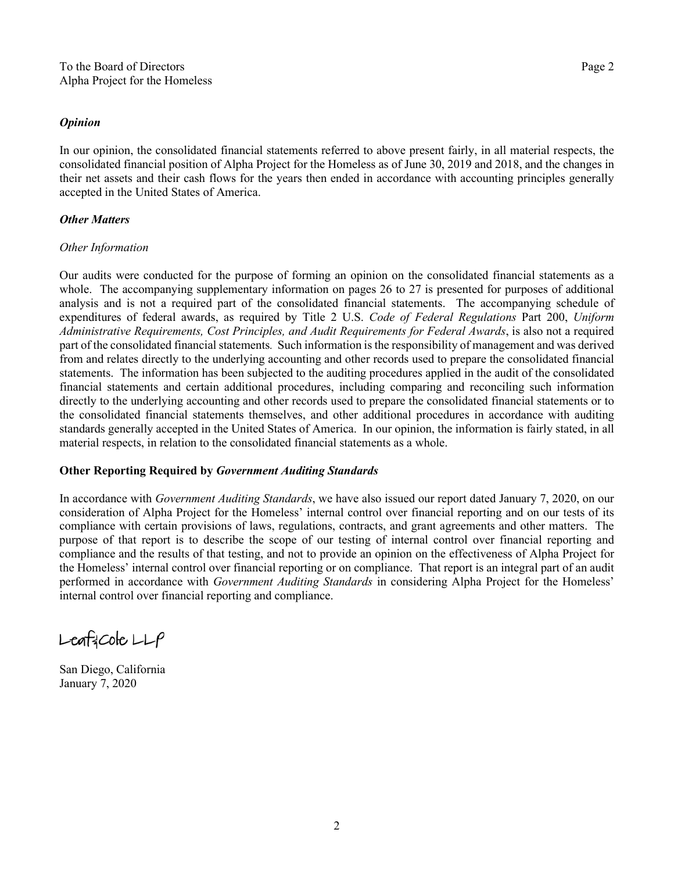#### *Opinion*

In our opinion, the consolidated financial statements referred to above present fairly, in all material respects, the consolidated financial position of Alpha Project for the Homeless as of June 30, 2019 and 2018, and the changes in their net assets and their cash flows for the years then ended in accordance with accounting principles generally accepted in the United States of America.

### *Other Matters*

#### *Other Information*

Our audits were conducted for the purpose of forming an opinion on the consolidated financial statements as a whole. The accompanying supplementary information on pages 26 to 27 is presented for purposes of additional analysis and is not a required part of the consolidated financial statements. The accompanying schedule of expenditures of federal awards, as required by Title 2 U.S. *Code of Federal Regulations* Part 200, *Uniform Administrative Requirements, Cost Principles, and Audit Requirements for Federal Awards*, is also not a required part of the consolidated financial statements*.* Such information is the responsibility of management and was derived from and relates directly to the underlying accounting and other records used to prepare the consolidated financial statements. The information has been subjected to the auditing procedures applied in the audit of the consolidated financial statements and certain additional procedures, including comparing and reconciling such information directly to the underlying accounting and other records used to prepare the consolidated financial statements or to the consolidated financial statements themselves, and other additional procedures in accordance with auditing standards generally accepted in the United States of America. In our opinion, the information is fairly stated, in all material respects, in relation to the consolidated financial statements as a whole.

#### **Other Reporting Required by** *Government Auditing Standards*

In accordance with *Government Auditing Standards*, we have also issued our report dated January 7, 2020, on our consideration of Alpha Project for the Homeless' internal control over financial reporting and on our tests of its compliance with certain provisions of laws, regulations, contracts, and grant agreements and other matters. The purpose of that report is to describe the scope of our testing of internal control over financial reporting and compliance and the results of that testing, and not to provide an opinion on the effectiveness of Alpha Project for the Homeless' internal control over financial reporting or on compliance. That report is an integral part of an audit performed in accordance with *Government Auditing Standards* in considering Alpha Project for the Homeless' internal control over financial reporting and compliance.

 $L$ eafi $q$ cole  $L L \rho$ 

San Diego, California January 7, 2020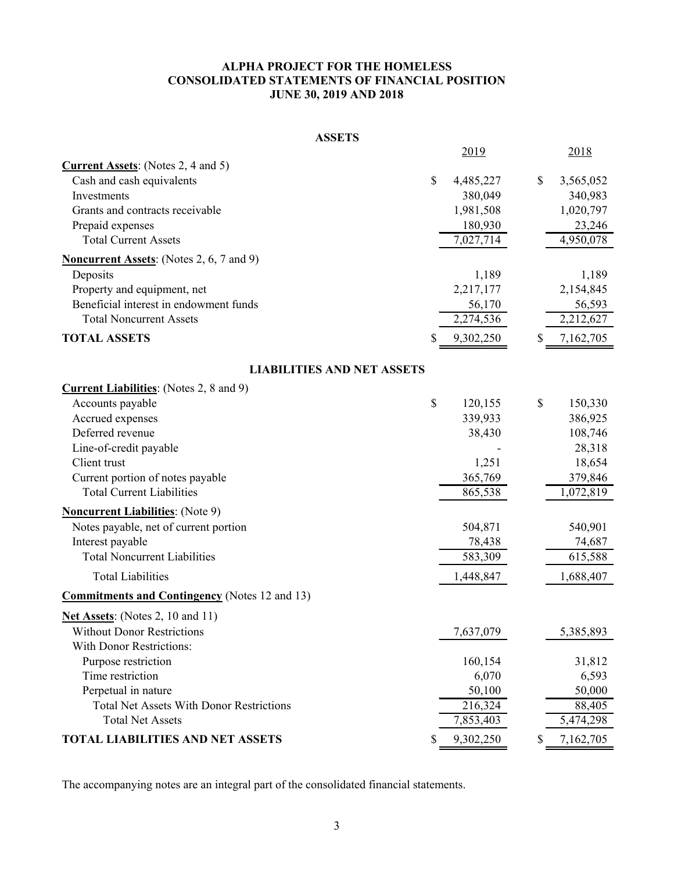### **ALPHA PROJECT FOR THE HOMELESS CONSOLIDATED STATEMENTS OF FINANCIAL POSITION JUNE 30, 2019 AND 2018**

|                                                      |             | 2019                 | 2018            |
|------------------------------------------------------|-------------|----------------------|-----------------|
| <b>Current Assets:</b> (Notes 2, 4 and 5)            |             |                      |                 |
| Cash and cash equivalents                            | \$          | 4,485,227            | \$<br>3,565,052 |
| Investments                                          |             | 380,049              | 340,983         |
| Grants and contracts receivable                      |             | 1,981,508            | 1,020,797       |
| Prepaid expenses                                     |             | 180,930              | 23,246          |
| <b>Total Current Assets</b>                          |             | 7,027,714            | 4,950,078       |
| <b>Noncurrent Assets:</b> (Notes 2, 6, 7 and 9)      |             |                      |                 |
| Deposits                                             |             | 1,189                | 1,189           |
| Property and equipment, net                          |             | 2,217,177            | 2,154,845       |
| Beneficial interest in endowment funds               |             | 56,170               | 56,593          |
| <b>Total Noncurrent Assets</b>                       |             | 2,274,536            | 2,212,627       |
| <b>TOTAL ASSETS</b>                                  | \$          | 9,302,250            | \$<br>7,162,705 |
| <b>LIABILITIES AND NET ASSETS</b>                    |             |                      |                 |
| <b>Current Liabilities:</b> (Notes 2, 8 and 9)       |             |                      |                 |
| Accounts payable                                     | $\mathbb S$ | 120,155              | \$<br>150,330   |
| Accrued expenses                                     |             | 339,933              | 386,925         |
| Deferred revenue                                     |             | 38,430               | 108,746         |
| Line-of-credit payable                               |             |                      | 28,318          |
| Client trust                                         |             | 1,251                | 18,654          |
| Current portion of notes payable                     |             | 365,769              | 379,846         |
| <b>Total Current Liabilities</b>                     |             | 865,538              | 1,072,819       |
| <b>Noncurrent Liabilities:</b> (Note 9)              |             |                      |                 |
| Notes payable, net of current portion                |             | 504,871              | 540,901         |
| Interest payable                                     |             | 78,438               | 74,687          |
| <b>Total Noncurrent Liabilities</b>                  |             | 583,309              | 615,588         |
| <b>Total Liabilities</b>                             |             | 1,448,847            | 1,688,407       |
| <b>Commitments and Contingency</b> (Notes 12 and 13) |             |                      |                 |
| Net Assets: (Notes 2, 10 and 11)                     |             |                      |                 |
| <b>Without Donor Restrictions</b>                    |             | 7,637,079            | 5,385,893       |
| With Donor Restrictions:                             |             |                      |                 |
| Purpose restriction                                  |             | 160,154              | 31,812          |
| Time restriction                                     |             | 6,070                | 6,593           |
| Perpetual in nature                                  |             | 50,100               | 50,000          |
| <b>Total Net Assets With Donor Restrictions</b>      |             | $\overline{216,324}$ | 88,405          |
| <b>Total Net Assets</b>                              |             | 7,853,403            | 5,474,298       |
| <b>TOTAL LIABILITIES AND NET ASSETS</b>              | \$          | 9,302,250            | \$<br>7,162,705 |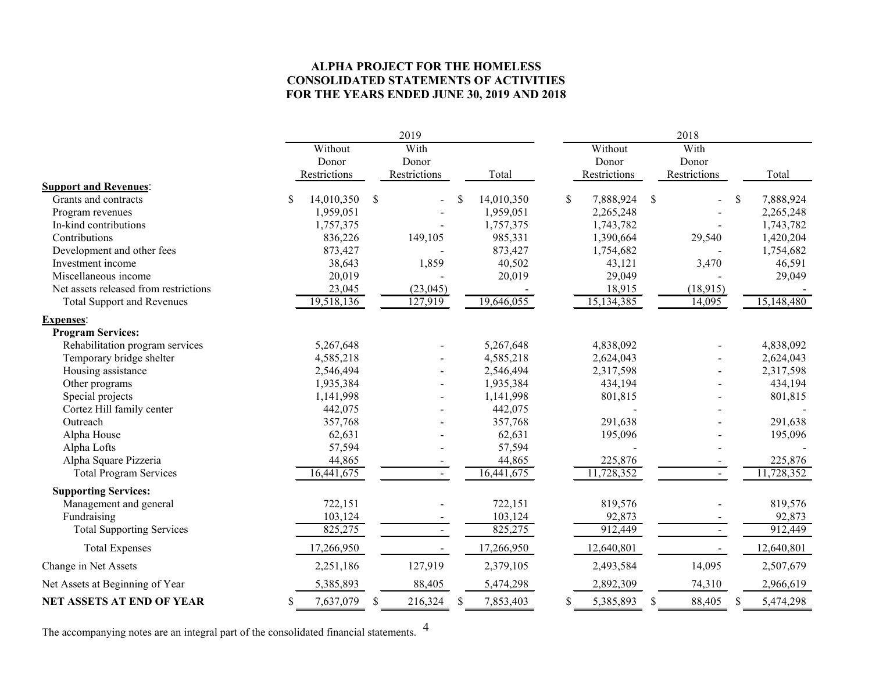### **ALPHA PROJECT FOR THE HOMELESS CONSOLIDATED STATEMENTS OF ACTIVITIES FOR THE YEARS ENDED JUNE 30, 2019 AND 2018**

|                                       |                  | 2019                |            | 2018            |                     |            |  |  |  |
|---------------------------------------|------------------|---------------------|------------|-----------------|---------------------|------------|--|--|--|
|                                       | Without          | With                |            | Without         | With                |            |  |  |  |
|                                       | Donor            | Donor               |            | Donor           | Donor               |            |  |  |  |
|                                       | Restrictions     | Restrictions        | Total      | Restrictions    | Restrictions        | Total      |  |  |  |
| <b>Support and Revenues:</b>          |                  |                     |            |                 |                     |            |  |  |  |
| Grants and contracts                  | \$<br>14,010,350 | - \$<br>\$.         | 14,010,350 | \$<br>7,888,924 | \$<br><sup>\$</sup> | 7,888,924  |  |  |  |
| Program revenues                      | 1,959,051        |                     | 1,959,051  | 2,265,248       |                     | 2,265,248  |  |  |  |
| In-kind contributions                 | 1,757,375        |                     | 1,757,375  | 1,743,782       |                     | 1,743,782  |  |  |  |
| Contributions                         | 836,226          | 149,105             | 985,331    | 1,390,664       | 29,540              | 1,420,204  |  |  |  |
| Development and other fees            | 873,427          |                     | 873,427    | 1,754,682       |                     | 1,754,682  |  |  |  |
| Investment income                     | 38,643           | 1,859               | 40,502     | 43,121          | 3,470               | 46,591     |  |  |  |
| Miscellaneous income                  | 20,019           |                     | 20,019     | 29,049          |                     | 29,049     |  |  |  |
| Net assets released from restrictions | 23,045           | (23, 045)           |            | 18,915          | (18, 915)           |            |  |  |  |
| <b>Total Support and Revenues</b>     | 19,518,136       | 127,919             | 19,646,055 | 15, 134, 385    | 14,095              | 15,148,480 |  |  |  |
| <b>Expenses:</b>                      |                  |                     |            |                 |                     |            |  |  |  |
| <b>Program Services:</b>              |                  |                     |            |                 |                     |            |  |  |  |
| Rehabilitation program services       | 5,267,648        |                     | 5,267,648  | 4,838,092       |                     | 4,838,092  |  |  |  |
| Temporary bridge shelter              | 4,585,218        |                     | 4,585,218  | 2,624,043       |                     | 2,624,043  |  |  |  |
| Housing assistance                    | 2,546,494        |                     | 2,546,494  | 2,317,598       |                     | 2,317,598  |  |  |  |
| Other programs                        | 1,935,384        |                     | 1,935,384  | 434,194         |                     | 434,194    |  |  |  |
| Special projects                      | 1,141,998        |                     | 1,141,998  | 801,815         |                     | 801,815    |  |  |  |
| Cortez Hill family center             | 442,075          |                     | 442,075    |                 |                     |            |  |  |  |
| Outreach                              | 357,768          |                     | 357,768    | 291,638         |                     | 291,638    |  |  |  |
| Alpha House                           | 62,631           |                     | 62,631     | 195,096         |                     | 195,096    |  |  |  |
| Alpha Lofts                           | 57,594           |                     | 57,594     |                 |                     |            |  |  |  |
| Alpha Square Pizzeria                 | 44,865           |                     | 44,865     | 225,876         |                     | 225,876    |  |  |  |
| <b>Total Program Services</b>         | 16,441,675       | $\blacksquare$      | 16,441,675 | 11,728,352      | $\sim$              | 11,728,352 |  |  |  |
| <b>Supporting Services:</b>           |                  |                     |            |                 |                     |            |  |  |  |
| Management and general                | 722,151          |                     | 722,151    | 819,576         |                     | 819,576    |  |  |  |
| Fundraising                           | 103,124          |                     | 103,124    | 92,873          |                     | 92,873     |  |  |  |
| <b>Total Supporting Services</b>      | 825,275          |                     | 825,275    | 912,449         | $\blacksquare$      | 912,449    |  |  |  |
| <b>Total Expenses</b>                 | 17,266,950       |                     | 17,266,950 | 12,640,801      |                     | 12,640,801 |  |  |  |
| Change in Net Assets                  | 2,251,186        | 127,919             | 2,379,105  | 2,493,584       | 14,095              | 2,507,679  |  |  |  |
| Net Assets at Beginning of Year       | 5,385,893        | 88,405              | 5,474,298  | 2,892,309       | 74,310              | 2,966,619  |  |  |  |
| <b>NET ASSETS AT END OF YEAR</b>      | 7,637,079<br>\$  | \$<br>216,324<br>\$ | 7,853,403  | 5,385,893<br>\$ | \$<br>88,405<br>S   | 5,474,298  |  |  |  |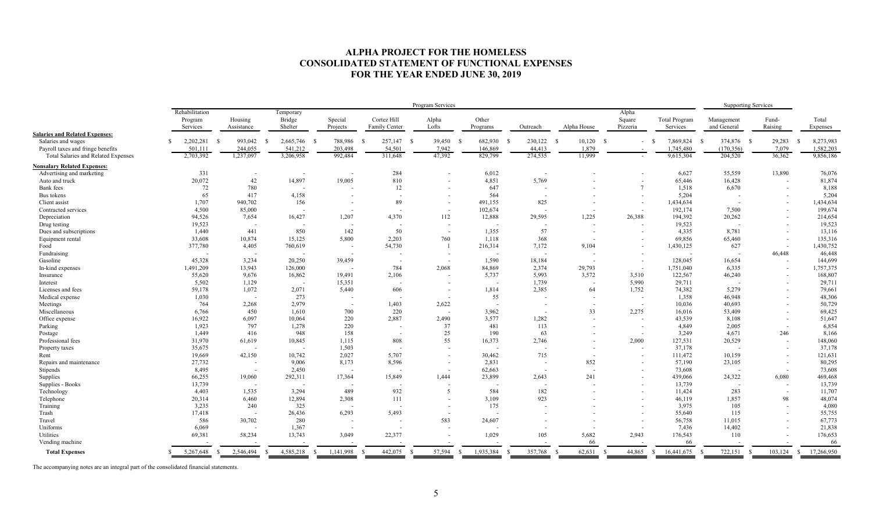### **ALPHA PROJECT FOR THE HOMELESS CONSOLIDATED STATEMENT OF FUNCTIONAL EXPENSES FOR THE YEAR ENDED JUNE 30, 2019**

|                                       |   |                     |                       |                   |     |                          |     |                              |      | Program Services         |                   |                          |      |                          |                          |                                  |    | <b>Supporting Services</b> |      |                          |                          |
|---------------------------------------|---|---------------------|-----------------------|-------------------|-----|--------------------------|-----|------------------------------|------|--------------------------|-------------------|--------------------------|------|--------------------------|--------------------------|----------------------------------|----|----------------------------|------|--------------------------|--------------------------|
|                                       |   | Rehabilitation      |                       | Temporary         |     |                          |     |                              |      |                          |                   |                          |      |                          | Alpha                    |                                  |    |                            |      |                          |                          |
|                                       |   | Program<br>Services | Housing<br>Assistance | Bridge<br>Shelter |     | Special<br>Projects      |     | Cortez Hill<br>Family Center |      | Alpha<br>Lofts           | Other<br>Programs | Outreach                 |      | Alpha House              | Square<br>Pizzeria       | <b>Total Program</b><br>Services |    | Management<br>and General  |      | Fund-<br>Raising         | Total<br><b>Expenses</b> |
| <b>Salaries and Related Expenses:</b> |   |                     |                       |                   |     |                          |     |                              |      |                          |                   |                          |      |                          |                          |                                  |    |                            |      |                          |                          |
| Salaries and wages                    | S | 2,202,281           | 993,042               | 2,665,746         | - 8 | 788,986                  | - 8 | 257,147                      | - \$ | 39,450<br>- \$           | 682,930<br>- \$   | 230,122                  | - \$ | 10,120<br>- \$           | - \$                     | 7,869,824                        | -S | 374,876                    | - \$ | 29,283<br>-8             | 8,273,983                |
| Payroll taxes and fringe benefits     |   | 501,111             | 244,055               | 541,212           |     | 203,498                  |     | 54,501                       |      | 7,942                    | 146,869           | 44,413                   |      | 1,879                    |                          | 1,745,480                        |    | (170, 356)                 |      | 7,079                    | 1,582,203                |
| Total Salaries and Related Expenses   |   | 2,703,392           | 1,237,097             | 3,206,958         |     | 992,484                  |     | 311,648                      |      | 47,392                   | 829,799           | 274,535                  |      | 11,999                   | $\sim$                   | 9,615,304                        |    | 204,520                    |      | 36,362                   | 9,856,186                |
| <b>Nonsalary Related Expenses:</b>    |   |                     |                       |                   |     |                          |     |                              |      |                          |                   |                          |      |                          |                          |                                  |    |                            |      |                          |                          |
| Advertising and marketing             |   | 331                 |                       |                   |     |                          |     | 284                          |      | $\overline{\phantom{a}}$ | 6,012             | $\sim$                   |      |                          |                          | 6,627                            |    | 55,559                     |      | 13,890                   | 76,076                   |
| Auto and truck                        |   | 20,072              | 42                    | 14,897            |     | 19,005                   |     | 810                          |      | $\overline{\phantom{a}}$ | 4,851             | 5,769                    |      |                          | $\overline{\phantom{a}}$ | 65,446                           |    | 16,428                     |      | $\overline{\phantom{a}}$ | 81,874                   |
| <b>Bank</b> fees                      |   | 72                  | 780                   |                   |     |                          |     | 12                           |      |                          | 647               |                          |      |                          | $7\phantom{.0}$          | 1,518                            |    | 6,670                      |      |                          | 8,188                    |
| Bus tokens                            |   | 65                  | 417                   | 4,158             |     |                          |     | $\sim$                       |      | $\overline{\phantom{a}}$ | 564               | $\sim$                   |      |                          |                          | 5,204                            |    |                            |      |                          | 5,204                    |
| Client assist                         |   | 1,707               | 940,702               | 156               |     |                          |     | 89                           |      | $\overline{a}$           | 491,155           | 825                      |      |                          | $\sim$                   | 1,434,634                        |    |                            |      |                          | 1,434,634                |
| Contracted services                   |   | 4,500               | 85,000                |                   |     | $\sim$                   |     | $\sim$                       |      | $\sim$                   | 102,674           |                          |      | $\overline{\phantom{a}}$ | $\overline{\phantom{a}}$ | 192,174                          |    | 7,500                      |      |                          | 199,674                  |
| Depreciation                          |   | 94,526              | 7,654                 | 16,427            |     | 1,207                    |     | 4,370                        |      | 112                      | 12,888            | 29,595                   |      | 1,225                    | 26,388                   | 194,392                          |    | 20,262                     |      | $\sim$                   | 214,654                  |
| Drug testing                          |   | 19,523              |                       |                   |     |                          |     | $\overline{\phantom{a}}$     |      |                          |                   |                          |      |                          |                          | 19,523                           |    |                            |      |                          | 19,523                   |
| Dues and subscriptions                |   | 1,440               | 441                   | 850               |     | 142                      |     | 50                           |      | $\sim$                   | 1,355             | 57                       |      | $\overline{\phantom{a}}$ | $\overline{\phantom{a}}$ | 4,335                            |    | 8,781                      |      | $\sim$                   | 13,116                   |
| Equipment rental                      |   | 33,608              | 10,874                | 15,125            |     | 5.800                    |     | 2.203                        |      | 760                      | 1,118             | 368                      |      | $\overline{\phantom{a}}$ |                          | 69,856                           |    | 65,460                     |      | $\sim$                   | 135,316                  |
| Food                                  |   | 377,780             | 4,405                 | 760,619           |     | $\sim$                   |     | 54,730                       |      | $\overline{1}$           | 216,314           | 7.172                    |      | 9,104                    | $\overline{\phantom{a}}$ | 1,430,125                        |    | 627                        |      | $\sim$                   | 1,430,752                |
| Fundraising                           |   | $\sim$              |                       |                   |     |                          |     |                              |      | $\overline{\phantom{a}}$ |                   | $\overline{\phantom{a}}$ |      |                          | $\overline{\phantom{a}}$ |                                  |    |                            |      | 46,448                   | 46,448                   |
| Gasoline                              |   | 45,328              | 3,234                 | 20,250            |     | 39,459                   |     | $\sim$                       |      | $\sim$                   | 1,590             | 18,184                   |      | $\overline{\phantom{a}}$ | $\sim$                   | 128,045                          |    | 16,654                     |      | $\sim$                   | 144,699                  |
| In-kind expenses                      |   | 1,491,209           | 13,943                | 126,000           |     | $\overline{\phantom{a}}$ |     | 784                          |      | 2,068                    | 84,869            | 2,374                    |      | 29,793                   | $\sim$                   | 1,751,040                        |    | 6,335                      |      | $\overline{\phantom{a}}$ | 1,757,375                |
| Insurance                             |   | 55,620              | 9,676                 | 16,862            |     | 19,491                   |     | 2,106                        |      | $\sim$                   | 5,737             | 5,993                    |      | 3,572                    | 3,510                    | 122,567                          |    | 46,240                     |      | $\overline{\phantom{a}}$ | 168,807                  |
| Interest                              |   | 5,502               | 1,129                 |                   |     | 15,351                   |     | $\sim$                       |      | $\overline{\phantom{a}}$ | $\overline{a}$    | 1,739                    |      | $\overline{\phantom{a}}$ | 5,990                    | 29,711                           |    |                            |      |                          | 29,711                   |
| Licenses and fees                     |   | 59,178              | 1,072                 | 2,071             |     | 5,440                    |     | 606                          |      | $\overline{\phantom{a}}$ | 1,814             | 2,385                    |      | 64                       | 1,752                    | 74,382                           |    | 5,279                      |      |                          | 79,661                   |
| Medical expense                       |   | 1,030               |                       | 273               |     | $\sim$                   |     |                              |      | $\overline{\phantom{a}}$ | 55                | $\sim$                   |      | $\sim$                   | $\sim$                   | 1,358                            |    | 46,948                     |      |                          | 48,306                   |
| Meetings                              |   | 764                 | 2,268                 | 2,979             |     | $\overline{\phantom{a}}$ |     | 1,403                        |      | 2,622                    |                   | $\sim$                   |      | $\overline{\phantom{a}}$ | $\sim$                   | 10,036                           |    | 40,693                     |      |                          | 50,729                   |
| Miscellaneous                         |   | 6,766               | 450                   | 1,610             |     | 700                      |     | 220                          |      |                          | 3,962             | $\sim$                   |      | 33                       | 2,275                    | 16,016                           |    | 53,409                     |      |                          | 69,425                   |
| Office expense                        |   | 16,922              | 6,097                 | 10,064            |     | 220                      |     | 2,887                        |      | 2,490                    | 3,577             | 1,282                    |      | $\overline{\phantom{a}}$ | $\overline{\phantom{a}}$ | 43,539                           |    | 8,108                      |      | $\overline{\phantom{a}}$ | 51,647                   |
| Parking                               |   | 1,923               | 797                   | 1,278             |     | 220                      |     |                              |      | 37                       | 481               | 113                      |      |                          | $\sim$                   | 4,849                            |    | 2,005                      |      | $\sim$                   | 6,854                    |
| Postage                               |   | 1,449               | 416                   | 948               |     | 158                      |     | $\sim$                       |      | 25                       | 190               | 63                       |      |                          | $\overline{\phantom{a}}$ | 3,249                            |    | 4,671                      |      | 246                      | 8,166                    |
| Professional fees                     |   | 31,970              | 61,619                | 10,845            |     | 1,115                    |     | 808                          |      | 55                       | 16,373            | 2.746                    |      | $\tilde{\phantom{a}}$    | 2,000                    | 127,531                          |    | 20,529                     |      | $\sim$                   | 148,060                  |
| Property taxes                        |   | 35,675              |                       |                   |     | 1.503                    |     |                              |      |                          |                   |                          |      |                          |                          | 37,178                           |    |                            |      |                          | 37,178                   |
| Rent                                  |   | 19,669              | 42,150                | 10,742            |     | 2,027                    |     | 5,707                        |      | $\sim$                   | 30,462            | 715                      |      | $\overline{\phantom{a}}$ | $\sim$                   | 111,472                          |    | 10,159                     |      | $\sim$                   | 121,631                  |
| Repairs and maintenance               |   | 27,732              | $\sim$                | 9,006             |     | 8,173                    |     | 8,596                        |      | $\sim$                   | 2,831             | $\sim$                   |      | 852                      | $\overline{\phantom{a}}$ | 57,190                           |    | 23,105                     |      | $\sim$                   | 80,295                   |
| Stipends                              |   | 8,495               | $\sim$                | 2,450             |     | $\sim$                   |     |                              |      | $\overline{\phantom{a}}$ | 62,663            | $\sim$                   |      | $\overline{\phantom{a}}$ | $\overline{\phantom{a}}$ | 73,608                           |    |                            |      | $\sim$                   | 73,608                   |
| Supplies                              |   | 66,255              | 19,060                | 292,311           |     | 17,364                   |     | 15,849                       |      | 1,444                    | 23,899            | 2,643                    |      | 241                      | $\overline{\phantom{a}}$ | 439,066                          |    | 24,322                     |      | 6,080                    | 469,468                  |
| Supplies - Books                      |   | 13,739              |                       |                   |     |                          |     |                              |      |                          |                   | $\overline{\phantom{a}}$ |      | $\overline{\phantom{a}}$ | $\sim$                   | 13,739                           |    | $\sim$                     |      | $\sim$                   | 13,739                   |
| Technology                            |   | 4.403               | 1,535                 | 3,294             |     | 489                      |     | 932                          |      | $\overline{5}$           | 584               | 182                      |      |                          | $\overline{\phantom{a}}$ | 11,424                           |    | 283                        |      | $\sim$                   | 11,707                   |
| Telephone                             |   | 20,314              | 6,460                 | 12,894            |     | 2,308                    |     | 111                          |      | $\sim$                   | 3,109             | 923                      |      |                          | $\overline{\phantom{a}}$ | 46,119                           |    | 1,857                      |      | 98                       | 48,074                   |
| Training                              |   | 3,235               | 240                   | 325               |     |                          |     |                              |      | $\overline{\phantom{a}}$ | 175               |                          |      |                          |                          | 3,975                            |    | 105                        |      |                          | 4,080                    |
| Trash                                 |   | 17,418              |                       | 26,436            |     | 6,293                    |     | 5,493                        |      | $\overline{\phantom{a}}$ | $\overline{a}$    | $\overline{\phantom{a}}$ |      |                          | $\overline{\phantom{a}}$ | 55,640                           |    | 115                        |      | $\sim$                   | 55,755                   |
| Travel                                |   | 586                 | 30,702                | 280               |     |                          |     |                              |      | 583                      | 24,607            |                          |      |                          | $\overline{\phantom{a}}$ | 56,758                           |    | 11,015                     |      |                          | 67,773                   |
| Uniforms                              |   | 6,069               |                       | 1,367             |     |                          |     |                              |      |                          |                   | $\overline{\phantom{a}}$ |      |                          | $\sim$                   | 7,436                            |    | 14,402                     |      |                          | 21,838                   |
| Utilities                             |   | 69,381              | 58,234                | 13,743            |     | 3,049                    |     | 22,377                       |      |                          | 1,029             | 105                      |      | 5,682                    | 2,943                    | 176,543                          |    | 110                        |      |                          | 176,653                  |
| Vending machine                       |   |                     |                       |                   |     |                          |     |                              |      |                          |                   |                          |      | 66                       |                          |                                  | 66 |                            |      |                          | 66                       |
| <b>Total Expenses</b>                 |   | 5,267,648           | 2,546,494             | 4,585,218         |     | 1,141,998                |     | 442,075                      |      | 57,594                   | 1,935,384         | 357,768                  |      | 62,631                   | 44,865                   | 16,441,675                       |    | 722,151                    |      | 103,124<br>-S            | 17,266,950               |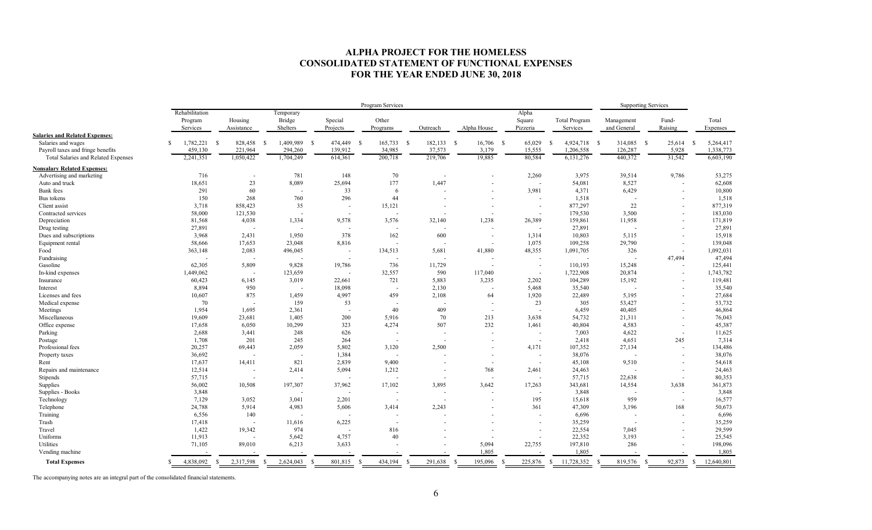### **ALPHA PROJECT FOR THE HOMELESS CONSOLIDATED STATEMENT OF FUNCTIONAL EXPENSES FOR THE YEAR ENDED JUNE 30, 2018**

|                                       |    |                     |                            |     |                            |  |                          | Program Services         |               |            |    |                          |                    |                          |                                  | <b>Supporting Services</b> |                           |     |                          |               |                          |
|---------------------------------------|----|---------------------|----------------------------|-----|----------------------------|--|--------------------------|--------------------------|---------------|------------|----|--------------------------|--------------------|--------------------------|----------------------------------|----------------------------|---------------------------|-----|--------------------------|---------------|--------------------------|
|                                       |    | Rehabilitation      |                            |     | Temporary                  |  |                          |                          |               |            |    |                          |                    | Alpha                    |                                  |                            |                           |     |                          |               |                          |
|                                       |    | Program<br>Services | Housing<br>Assistance      |     | Bridge<br>Shelters         |  | Special<br>Projects      | Other<br>Programs        |               | Outreach   |    | Alpha House              | Square<br>Pizzeria |                          | <b>Total Program</b><br>Services |                            | Management<br>and General |     | Fund-<br>Raising         |               | Total<br><b>Expenses</b> |
| <b>Salaries and Related Expenses:</b> |    |                     |                            |     |                            |  |                          |                          |               |            |    |                          |                    |                          |                                  |                            |                           |     |                          |               |                          |
| Salaries and wages                    | -S | 1,782,221           | 828,458<br>-S              | - S | 1,409,989<br>- S           |  | 474,449 \$               | $165,733$ \$             |               | 182,133 \$ |    | $16,706$ \$              | 65,029             | -8                       | 4,924,718 \$                     |                            | 314,085                   | - S | $25,614$ \$              |               | 5,264,417                |
| Payroll taxes and fringe benefits     |    | 459,130             | 221,964                    |     | 294,260                    |  | 139,912                  | 34,985                   |               | 37,573     |    | 3,179                    | 15,555             |                          | 1,206,558                        |                            | 126,287                   |     | 5,928                    |               | 1,338,773                |
| Total Salaries and Related Expenses   |    | 2,241,351           | 1,050,422                  |     | 1,704,249                  |  | 614,361                  | 200,718                  |               | 219,706    |    | 19,885                   | 80,584             |                          | 6,131,276                        |                            | 440,372                   |     | 31,542                   |               | 6,603,190                |
|                                       |    |                     |                            |     |                            |  |                          |                          |               |            |    |                          |                    |                          |                                  |                            |                           |     |                          |               |                          |
| <b>Nonsalary Related Expenses:</b>    |    |                     |                            |     |                            |  |                          |                          |               |            |    |                          |                    |                          |                                  |                            |                           |     |                          |               |                          |
| Advertising and marketing             |    | 716                 |                            |     | 781                        |  | 148                      | 70                       |               |            |    |                          | 2,260              |                          | 3,975                            |                            | 39,514                    |     | 9,786                    |               | 53,275                   |
| Auto and truck                        |    | 18,651              | 23                         |     | 8,089                      |  | 25,694                   | 177                      |               | 1,447      |    |                          |                    |                          | 54,081                           |                            | 8,527                     |     |                          |               | 62,608                   |
| Bank fees                             |    | 291                 | 60                         |     | $\overline{\phantom{a}}$   |  | 33                       | 6                        |               |            |    |                          | 3,981              |                          | 4,371                            |                            | 6,429                     |     |                          |               | 10,800                   |
| Bus tokens                            |    | 150                 | 268                        |     | 760                        |  | 296                      | 44                       |               |            |    |                          |                    |                          | 1,518                            |                            |                           |     |                          |               | 1,518                    |
| Client assist                         |    | 3,718               | 858,423                    |     | 35                         |  |                          | 15,121                   |               |            |    | $\ddot{\phantom{1}}$     |                    | $\sim$                   | 877,297                          |                            | 22                        |     |                          |               | 877,319                  |
| Contracted services                   |    | 58,000              | 121,530                    |     | $\overline{\phantom{a}}$   |  | $\sim$                   |                          |               |            |    | $\ddot{\phantom{1}}$     |                    | $\sim$                   | 179,530                          |                            | 3,500                     |     |                          |               | 183,030                  |
| Depreciation                          |    | 81,568              | 4,038                      |     | 1,334                      |  | 9,578                    | 3,576                    |               | 32,140     |    | 1,238                    | 26,389             |                          | 159,861                          |                            | 11,958                    |     |                          |               | 171,819                  |
| Drug testing                          |    | 27,891              |                            |     | $\sim$                     |  |                          |                          |               |            |    |                          |                    |                          | 27,891                           |                            | $\sim$                    |     |                          |               | 27,891                   |
| Dues and subscriptions                |    | 3,968               | 2,431                      |     | 1,950                      |  | 378                      | 162                      |               | 600        |    | $\sim$                   | 1,314              |                          | 10,803                           |                            | 5,115                     |     | $\sim$                   |               | 15,918                   |
| Equipment rental                      |    | 58,666              | 17,653                     |     | 23,048                     |  | 8,816                    |                          |               |            |    |                          | 1,075              |                          | 109,258                          |                            | 29,790                    |     |                          |               | 139,048                  |
| Food                                  |    | 363,148             | 2,083                      |     | 496,045                    |  | $\sim$                   | 134,513                  |               | 5,681      |    | 41,880                   | 48,355             |                          | 1,091,705                        |                            | 326                       |     | $\sim$                   |               | 1,092,031                |
| Fundraising                           |    |                     |                            |     |                            |  | $\overline{\phantom{a}}$ |                          |               |            |    |                          |                    |                          |                                  |                            | $\sim$                    |     | 47,494                   |               | 47,494                   |
| Gasoline                              |    | 62,305              | 5,809                      |     | 9,828                      |  | 19,786                   | 736                      |               | 11,729     |    |                          |                    | $\overline{\phantom{a}}$ | 110,193                          |                            | 15,248                    |     | ÷,                       |               | 125,441                  |
| In-kind expenses                      |    | 1,449,062           |                            |     | 123,659                    |  |                          | 32,557                   |               | 590        |    | 117,040                  |                    | $\overline{\phantom{a}}$ | 1,722,908                        |                            | 20,874                    |     |                          |               | 1,743,782                |
| Insurance                             |    | 60,423              | 6,145                      |     | 3,019                      |  | 22,661                   | 721                      |               | 5,883      |    | 3,235                    | 2,202              |                          | 104,289                          |                            | 15,192                    |     |                          |               | 119,481                  |
| Interest                              |    | 8,894               | 950                        |     |                            |  | 18,098                   | $\overline{\phantom{a}}$ |               | 2,130      |    | ٠                        | 5,468              |                          | 35,540                           |                            |                           |     |                          |               | 35,540                   |
| Licenses and fees                     |    | 10,607              | 875                        |     | 1,459                      |  | 4,997                    | 459                      |               | 2,108      |    | 64                       | 1,920              |                          | 22,489                           |                            | 5,195                     |     |                          |               | 27,684                   |
| Medical expense                       |    | 70                  | $\overline{\phantom{a}}$   |     | 159                        |  | 53                       |                          |               |            |    | $\sim$                   | 23                 |                          | 305                              |                            | 53,427                    |     | $\sim$                   |               | 53,732                   |
| Meetings                              |    | 1,954               | 1,695                      |     | 2,361                      |  | ÷,                       | 40                       |               | 409        |    | $\overline{\phantom{a}}$ |                    |                          | 6,459                            |                            | 40,405                    |     |                          |               | 46,864                   |
| Miscellaneous                         |    | 19,609              | 23,681                     |     | 1,405                      |  | 200                      | 5,916                    |               | 70         |    | 213                      | 3,638              |                          | 54,732                           |                            | 21,311                    |     | $\sim$                   |               | 76,043                   |
| Office expense                        |    | 17,658              | 6,050                      |     | 10,299                     |  | 323                      | 4,274                    |               | 507        |    | 232                      | 1,461              |                          | 40,804                           |                            | 4,583                     |     | $\sim$                   |               | 45,387                   |
| Parking                               |    | 2,688               | 3,441                      |     | 248                        |  | 626                      | $\overline{\phantom{a}}$ |               |            |    | ٠                        |                    | $\overline{a}$           | 7,003                            |                            | 4,622                     |     | $\sim$                   |               | 11,625                   |
| Postage                               |    | 1,708               | 201                        |     | 245                        |  | 264                      |                          |               |            |    |                          |                    |                          | 2,418                            |                            | 4,651                     |     | 245                      |               | 7,314                    |
| Professional fees                     |    | 20,257              | 69,443                     |     | 2,059                      |  | 5,802                    | 3,120                    |               | 2,500      |    |                          | 4,171              |                          | 107,352                          |                            | 27,134                    |     | $\sim$                   |               | 134,486                  |
| Property taxes                        |    | 36,692              |                            |     |                            |  | 1,384                    |                          |               |            |    |                          |                    |                          | 38,076                           |                            |                           |     |                          |               | 38,076                   |
| Rent                                  |    | 17,637              | 14,411                     |     | 821                        |  | 2,839                    | 9,400                    |               |            |    | $\ddot{\phantom{1}}$     |                    | ÷.                       | 45,108                           |                            | 9,510                     |     |                          |               | 54,618                   |
| Repairs and maintenance               |    | 12,514              |                            |     | 2,414                      |  | 5,094                    | 1,212                    |               |            |    | 768                      | 2,461              |                          | 24,463                           |                            |                           |     |                          |               | 24,463                   |
| Stipends                              |    | 57,715              | $\overline{a}$             |     |                            |  |                          |                          |               |            |    | $\overline{\phantom{a}}$ |                    | $\sim$                   | 57,715                           |                            | 22,638                    |     | $\overline{\phantom{a}}$ |               | 80,353                   |
| Supplies                              |    | 56,002              | 10,508                     |     | 197,307                    |  | 37,962                   | 17,102                   |               | 3,895      |    | 3,642                    | 17,263             |                          | 343,681                          |                            | 14,554                    |     | 3,638                    |               | 361,873                  |
| Supplies - Books                      |    | 3.848               |                            |     |                            |  |                          |                          |               |            |    |                          |                    |                          | 3,848                            |                            |                           |     |                          |               | 3,848                    |
| Technology                            |    | 7,129               | 3,052                      |     | 3,041                      |  | 2,201                    | $\overline{a}$           |               |            |    |                          | 195                |                          | 15,618                           |                            | 959                       |     | $\sim$                   |               | 16,577                   |
| Telephone                             |    | 24,788              | 5,914                      |     | 4,983                      |  | 5,606                    | 3,414                    |               | 2,243      |    |                          | 361                |                          | 47,309                           |                            | 3,196                     |     | 168                      |               | 50,673                   |
| Training                              |    | 6,556               | 140                        |     |                            |  |                          |                          |               |            |    |                          |                    |                          | 6,696                            |                            | $\sim$                    |     | $\sim$                   |               | 6,696                    |
| Trash                                 |    | 17,418              |                            |     | 11,616                     |  | 6,225                    |                          |               |            |    |                          |                    |                          | 35,259                           |                            |                           |     |                          |               | 35,259                   |
| Travel                                |    | 1,422               | 19,342                     |     | 974                        |  | $\overline{\phantom{a}}$ | 816                      |               |            |    |                          |                    | $\overline{a}$           | 22,554                           |                            | 7,045                     |     | $\overline{\phantom{a}}$ |               | 29,599                   |
| Uniforms                              |    | 11,913              |                            |     | 5,642                      |  |                          | 40                       |               |            |    |                          |                    |                          |                                  |                            |                           |     |                          |               | 25,545                   |
|                                       |    |                     |                            |     |                            |  | 4,757                    |                          |               |            |    |                          |                    |                          | 22,352                           |                            | 3,193                     |     |                          |               |                          |
| Utilities                             |    | 71,105              | 89,010                     |     | 6,213                      |  | 3,633                    |                          |               |            |    | 5,094                    | 22,755             |                          | 197,810                          |                            | 286                       |     |                          |               | 198,096                  |
| Vending machine                       |    |                     |                            |     |                            |  |                          |                          |               |            |    | 1,805                    |                    |                          | 1,805                            |                            |                           |     |                          |               | 1,805                    |
| <b>Total Expenses</b>                 | -S | 4,838,092           | 2,317,598<br>$\mathcal{S}$ | S   | 2,624,043<br>$\mathcal{S}$ |  | 801,815                  | 434,194                  | $\mathcal{S}$ | 291,638    | -8 | 195,096                  | 225,876            | $\mathcal{S}$            | 11,728,352                       | $\mathbf S$                | 819,576                   | -S  | 92,873                   | $\mathcal{S}$ | 12,640,801               |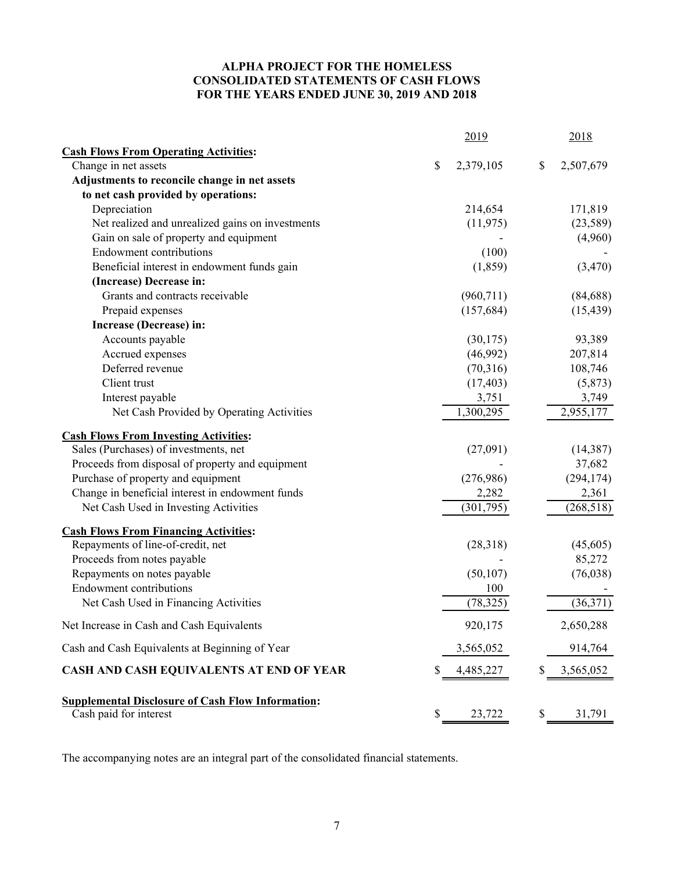### **ALPHA PROJECT FOR THE HOMELESS CONSOLIDATED STATEMENTS OF CASH FLOWS FOR THE YEARS ENDED JUNE 30, 2019 AND 2018**

|                                                                                    | 2019            | 2018            |
|------------------------------------------------------------------------------------|-----------------|-----------------|
| <b>Cash Flows From Operating Activities:</b>                                       |                 |                 |
| Change in net assets                                                               | \$<br>2,379,105 | \$<br>2,507,679 |
| Adjustments to reconcile change in net assets                                      |                 |                 |
| to net cash provided by operations:                                                |                 |                 |
| Depreciation                                                                       | 214,654         | 171,819         |
| Net realized and unrealized gains on investments                                   | (11, 975)       | (23, 589)       |
| Gain on sale of property and equipment                                             |                 | (4,960)         |
| <b>Endowment contributions</b>                                                     | (100)           |                 |
| Beneficial interest in endowment funds gain                                        | (1, 859)        | (3, 470)        |
| (Increase) Decrease in:                                                            |                 |                 |
| Grants and contracts receivable                                                    | (960, 711)      | (84, 688)       |
| Prepaid expenses                                                                   | (157, 684)      | (15, 439)       |
| Increase (Decrease) in:                                                            |                 |                 |
| Accounts payable                                                                   | (30, 175)       | 93,389          |
| Accrued expenses                                                                   | (46,992)        | 207,814         |
| Deferred revenue                                                                   | (70,316)        | 108,746         |
| Client trust                                                                       | (17, 403)       | (5,873)         |
| Interest payable                                                                   | 3,751           | 3,749           |
| Net Cash Provided by Operating Activities                                          | 1,300,295       | 2,955,177       |
| <b>Cash Flows From Investing Activities:</b>                                       |                 |                 |
| Sales (Purchases) of investments, net                                              | (27,091)        | (14, 387)       |
| Proceeds from disposal of property and equipment                                   |                 | 37,682          |
| Purchase of property and equipment                                                 | (276,986)       | (294, 174)      |
| Change in beneficial interest in endowment funds                                   | 2,282           | 2,361           |
| Net Cash Used in Investing Activities                                              | (301, 795)      | (268, 518)      |
| <b>Cash Flows From Financing Activities:</b>                                       |                 |                 |
| Repayments of line-of-credit, net                                                  | (28,318)        | (45,605)        |
| Proceeds from notes payable                                                        |                 | 85,272          |
| Repayments on notes payable                                                        | (50, 107)       | (76,038)        |
| <b>Endowment contributions</b>                                                     | 100             |                 |
| Net Cash Used in Financing Activities                                              | (78, 325)       | (36,371)        |
| Net Increase in Cash and Cash Equivalents                                          | 920,175         | 2,650,288       |
| Cash and Cash Equivalents at Beginning of Year                                     | 3,565,052       | 914,764         |
| CASH AND CASH EQUIVALENTS AT END OF YEAR                                           | 4,485,227<br>S  | 3,565,052       |
| <b>Supplemental Disclosure of Cash Flow Information:</b><br>Cash paid for interest | \$<br>23,722    | \$<br>31,791    |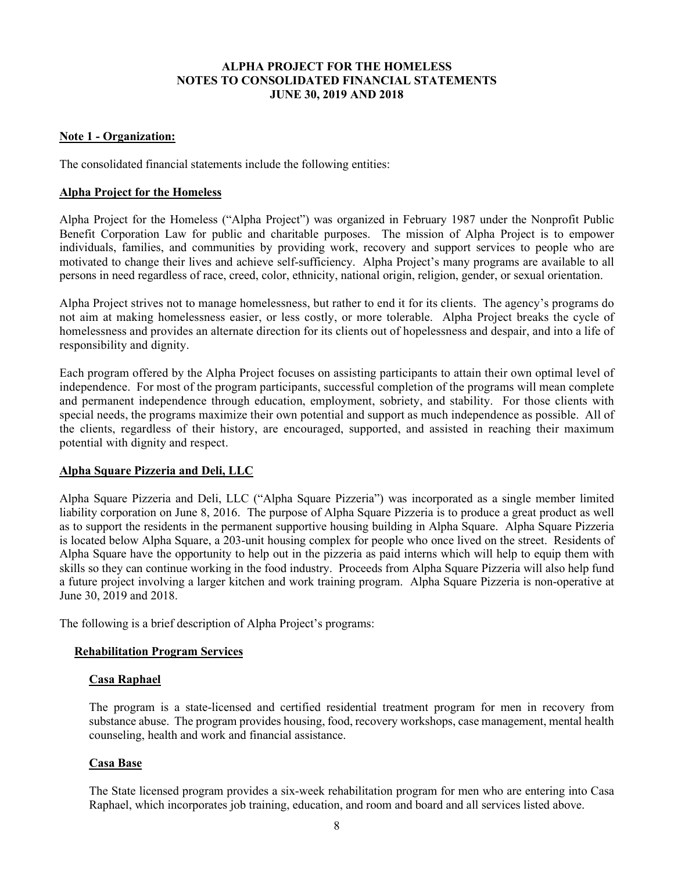#### **Note 1 - Organization:**

The consolidated financial statements include the following entities:

#### **Alpha Project for the Homeless**

Alpha Project for the Homeless ("Alpha Project") was organized in February 1987 under the Nonprofit Public Benefit Corporation Law for public and charitable purposes. The mission of Alpha Project is to empower individuals, families, and communities by providing work, recovery and support services to people who are motivated to change their lives and achieve self-sufficiency. Alpha Project's many programs are available to all persons in need regardless of race, creed, color, ethnicity, national origin, religion, gender, or sexual orientation.

Alpha Project strives not to manage homelessness, but rather to end it for its clients. The agency's programs do not aim at making homelessness easier, or less costly, or more tolerable. Alpha Project breaks the cycle of homelessness and provides an alternate direction for its clients out of hopelessness and despair, and into a life of responsibility and dignity.

Each program offered by the Alpha Project focuses on assisting participants to attain their own optimal level of independence. For most of the program participants, successful completion of the programs will mean complete and permanent independence through education, employment, sobriety, and stability. For those clients with special needs, the programs maximize their own potential and support as much independence as possible. All of the clients, regardless of their history, are encouraged, supported, and assisted in reaching their maximum potential with dignity and respect.

#### **Alpha Square Pizzeria and Deli, LLC**

Alpha Square Pizzeria and Deli, LLC ("Alpha Square Pizzeria") was incorporated as a single member limited liability corporation on June 8, 2016. The purpose of Alpha Square Pizzeria is to produce a great product as well as to support the residents in the permanent supportive housing building in Alpha Square. Alpha Square Pizzeria is located below Alpha Square, a 203-unit housing complex for people who once lived on the street. Residents of Alpha Square have the opportunity to help out in the pizzeria as paid interns which will help to equip them with skills so they can continue working in the food industry. Proceeds from Alpha Square Pizzeria will also help fund a future project involving a larger kitchen and work training program. Alpha Square Pizzeria is non-operative at June 30, 2019 and 2018.

The following is a brief description of Alpha Project's programs:

#### **Rehabilitation Program Services**

#### **Casa Raphael**

The program is a state-licensed and certified residential treatment program for men in recovery from substance abuse. The program provides housing, food, recovery workshops, case management, mental health counseling, health and work and financial assistance.

#### **Casa Base**

The State licensed program provides a six-week rehabilitation program for men who are entering into Casa Raphael, which incorporates job training, education, and room and board and all services listed above.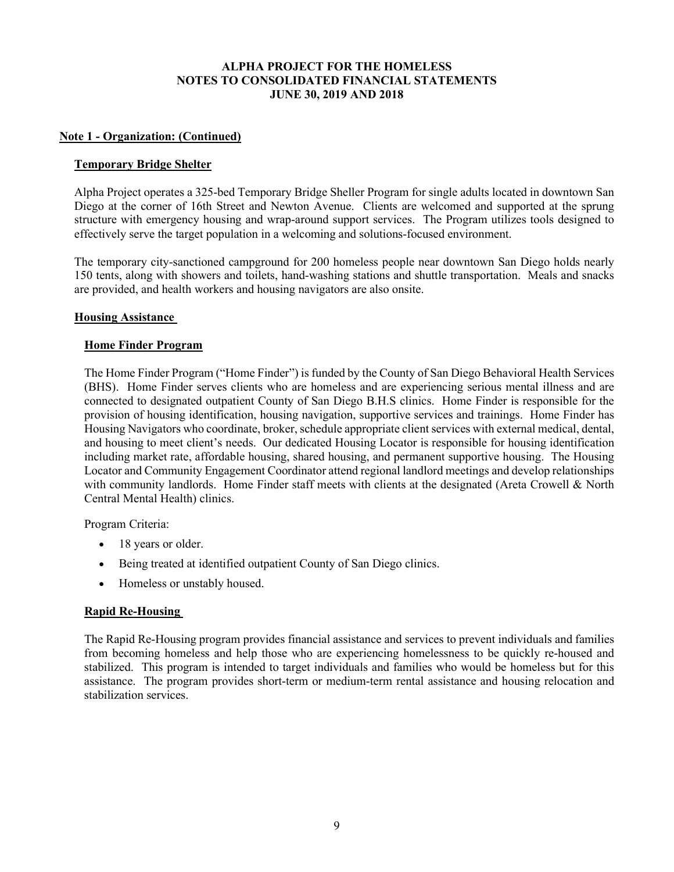#### **Note 1 - Organization: (Continued)**

#### **Temporary Bridge Shelter**

Alpha Project operates a 325-bed Temporary Bridge Sheller Program for single adults located in downtown San Diego at the corner of 16th Street and Newton Avenue. Clients are welcomed and supported at the sprung structure with emergency housing and wrap-around support services. The Program utilizes tools designed to effectively serve the target population in a welcoming and solutions-focused environment.

The temporary city-sanctioned campground for 200 homeless people near downtown San Diego holds nearly 150 tents, along with showers and toilets, hand-washing stations and shuttle transportation. Meals and snacks are provided, and health workers and housing navigators are also onsite.

#### **Housing Assistance**

#### **Home Finder Program**

The Home Finder Program ("Home Finder") is funded by the County of San Diego Behavioral Health Services (BHS). Home Finder serves clients who are homeless and are experiencing serious mental illness and are connected to designated outpatient County of San Diego B.H.S clinics. Home Finder is responsible for the provision of housing identification, housing navigation, supportive services and trainings. Home Finder has Housing Navigators who coordinate, broker, schedule appropriate client services with external medical, dental, and housing to meet client's needs. Our dedicated Housing Locator is responsible for housing identification including market rate, affordable housing, shared housing, and permanent supportive housing. The Housing Locator and Community Engagement Coordinator attend regional landlord meetings and develop relationships with community landlords. Home Finder staff meets with clients at the designated (Areta Crowell & North Central Mental Health) clinics.

Program Criteria:

- 18 years or older.
- Being treated at identified outpatient County of San Diego clinics.
- Homeless or unstably housed.

#### **Rapid Re-Housing**

The Rapid Re-Housing program provides financial assistance and services to prevent individuals and families from becoming homeless and help those who are experiencing homelessness to be quickly re-housed and stabilized. This program is intended to target individuals and families who would be homeless but for this assistance. The program provides short-term or medium-term rental assistance and housing relocation and stabilization services.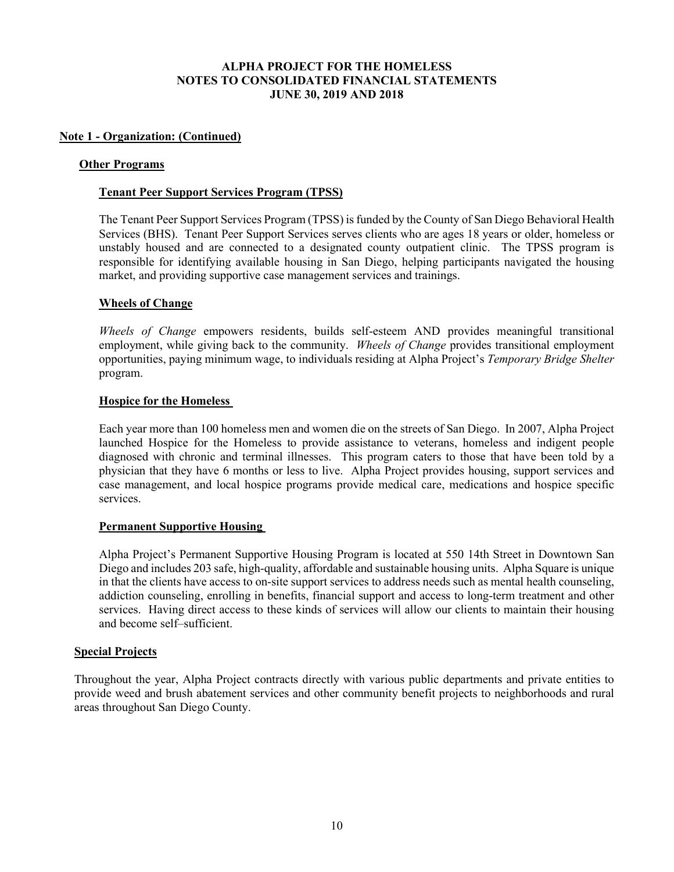#### **Note 1 - Organization: (Continued)**

#### **Other Programs**

#### **Tenant Peer Support Services Program (TPSS)**

The Tenant Peer Support Services Program (TPSS) is funded by the County of San Diego Behavioral Health Services (BHS). Tenant Peer Support Services serves clients who are ages 18 years or older, homeless or unstably housed and are connected to a designated county outpatient clinic. The TPSS program is responsible for identifying available housing in San Diego, helping participants navigated the housing market, and providing supportive case management services and trainings.

#### **Wheels of Change**

*Wheels of Change* empowers residents, builds self-esteem AND provides meaningful transitional employment, while giving back to the community. *Wheels of Change* provides transitional employment opportunities, paying minimum wage, to individuals residing at Alpha Project's *Temporary Bridge Shelter* program.

#### **Hospice for the Homeless**

Each year more than 100 homeless men and women die on the streets of San Diego. In 2007, Alpha Project launched Hospice for the Homeless to provide assistance to veterans, homeless and indigent people diagnosed with chronic and terminal illnesses. This program caters to those that have been told by a physician that they have 6 months or less to live. Alpha Project provides housing, support services and case management, and local hospice programs provide medical care, medications and hospice specific services.

#### **Permanent Supportive Housing**

Alpha Project's Permanent Supportive Housing Program is located at 550 14th Street in Downtown San Diego and includes 203 safe, high-quality, affordable and sustainable housing units. Alpha Square is unique in that the clients have access to on-site support services to address needs such as mental health counseling, addiction counseling, enrolling in benefits, financial support and access to long-term treatment and other services. Having direct access to these kinds of services will allow our clients to maintain their housing and become self–sufficient.

#### **Special Projects**

Throughout the year, Alpha Project contracts directly with various public departments and private entities to provide weed and brush abatement services and other community benefit projects to neighborhoods and rural areas throughout San Diego County.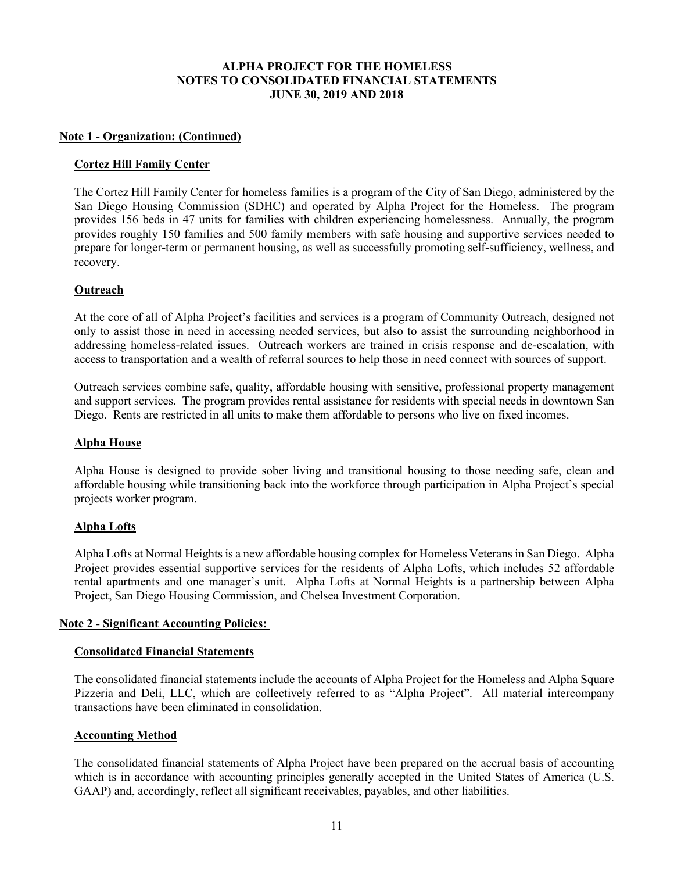#### **Note 1 - Organization: (Continued)**

#### **Cortez Hill Family Center**

The Cortez Hill Family Center for homeless families is a program of the City of San Diego, administered by the San Diego Housing Commission (SDHC) and operated by Alpha Project for the Homeless. The program provides 156 beds in 47 units for families with children experiencing homelessness. Annually, the program provides roughly 150 families and 500 family members with safe housing and supportive services needed to prepare for longer-term or permanent housing, as well as successfully promoting self-sufficiency, wellness, and recovery.

#### **Outreach**

At the core of all of Alpha Project's facilities and services is a program of Community Outreach, designed not only to assist those in need in accessing needed services, but also to assist the surrounding neighborhood in addressing homeless-related issues. Outreach workers are trained in crisis response and de-escalation, with access to transportation and a wealth of referral sources to help those in need connect with sources of support.

Outreach services combine safe, quality, affordable housing with sensitive, professional property management and support services. The program provides rental assistance for residents with special needs in downtown San Diego. Rents are restricted in all units to make them affordable to persons who live on fixed incomes.

#### **Alpha House**

Alpha House is designed to provide sober living and transitional housing to those needing safe, clean and affordable housing while transitioning back into the workforce through participation in Alpha Project's special projects worker program.

#### **Alpha Lofts**

Alpha Lofts at Normal Heights is a new affordable housing complex for Homeless Veterans in San Diego. Alpha Project provides essential supportive services for the residents of Alpha Lofts, which includes 52 affordable rental apartments and one manager's unit. Alpha Lofts at Normal Heights is a partnership between Alpha Project, San Diego Housing Commission, and Chelsea Investment Corporation.

#### **Note 2 - Significant Accounting Policies:**

#### **Consolidated Financial Statements**

The consolidated financial statements include the accounts of Alpha Project for the Homeless and Alpha Square Pizzeria and Deli, LLC, which are collectively referred to as "Alpha Project". All material intercompany transactions have been eliminated in consolidation.

#### **Accounting Method**

The consolidated financial statements of Alpha Project have been prepared on the accrual basis of accounting which is in accordance with accounting principles generally accepted in the United States of America (U.S. GAAP) and, accordingly, reflect all significant receivables, payables, and other liabilities.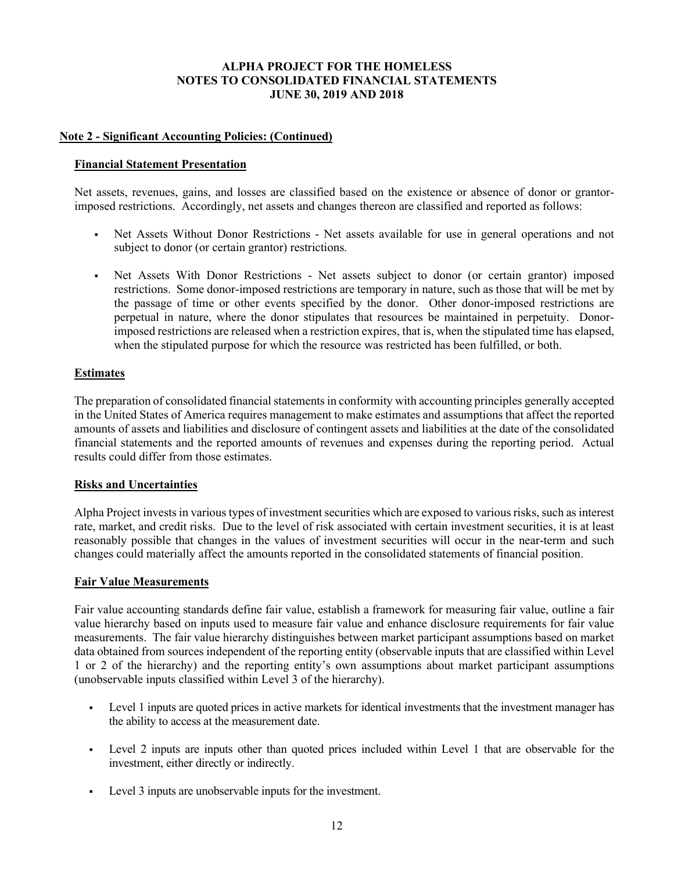### **Note 2 - Significant Accounting Policies: (Continued)**

#### **Financial Statement Presentation**

Net assets, revenues, gains, and losses are classified based on the existence or absence of donor or grantorimposed restrictions. Accordingly, net assets and changes thereon are classified and reported as follows:

- Net Assets Without Donor Restrictions Net assets available for use in general operations and not subject to donor (or certain grantor) restrictions.
- Net Assets With Donor Restrictions Net assets subject to donor (or certain grantor) imposed restrictions. Some donor-imposed restrictions are temporary in nature, such as those that will be met by the passage of time or other events specified by the donor. Other donor-imposed restrictions are perpetual in nature, where the donor stipulates that resources be maintained in perpetuity. Donorimposed restrictions are released when a restriction expires, that is, when the stipulated time has elapsed, when the stipulated purpose for which the resource was restricted has been fulfilled, or both.

#### **Estimates**

The preparation of consolidated financial statements in conformity with accounting principles generally accepted in the United States of America requires management to make estimates and assumptions that affect the reported amounts of assets and liabilities and disclosure of contingent assets and liabilities at the date of the consolidated financial statements and the reported amounts of revenues and expenses during the reporting period. Actual results could differ from those estimates.

#### **Risks and Uncertainties**

Alpha Project invests in various types of investment securities which are exposed to various risks, such as interest rate, market, and credit risks. Due to the level of risk associated with certain investment securities, it is at least reasonably possible that changes in the values of investment securities will occur in the near-term and such changes could materially affect the amounts reported in the consolidated statements of financial position.

#### **Fair Value Measurements**

Fair value accounting standards define fair value, establish a framework for measuring fair value, outline a fair value hierarchy based on inputs used to measure fair value and enhance disclosure requirements for fair value measurements. The fair value hierarchy distinguishes between market participant assumptions based on market data obtained from sources independent of the reporting entity (observable inputs that are classified within Level 1 or 2 of the hierarchy) and the reporting entity's own assumptions about market participant assumptions (unobservable inputs classified within Level 3 of the hierarchy).

- Level 1 inputs are quoted prices in active markets for identical investments that the investment manager has the ability to access at the measurement date.
- Level 2 inputs are inputs other than quoted prices included within Level 1 that are observable for the investment, either directly or indirectly.
- Level 3 inputs are unobservable inputs for the investment.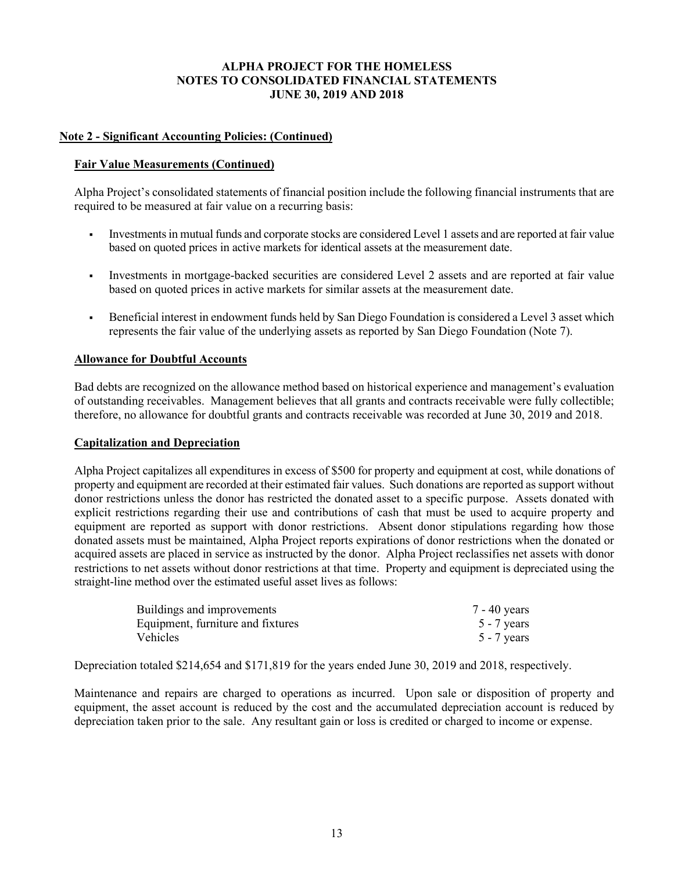### **Note 2 - Significant Accounting Policies: (Continued)**

#### **Fair Value Measurements (Continued)**

Alpha Project's consolidated statements of financial position include the following financial instruments that are required to be measured at fair value on a recurring basis:

- Investments in mutual funds and corporate stocks are considered Level 1 assets and are reported at fair value based on quoted prices in active markets for identical assets at the measurement date.
- Investments in mortgage-backed securities are considered Level 2 assets and are reported at fair value based on quoted prices in active markets for similar assets at the measurement date.
- Beneficial interest in endowment funds held by San Diego Foundation is considered a Level 3 asset which represents the fair value of the underlying assets as reported by San Diego Foundation (Note 7).

#### **Allowance for Doubtful Accounts**

Bad debts are recognized on the allowance method based on historical experience and management's evaluation of outstanding receivables. Management believes that all grants and contracts receivable were fully collectible; therefore, no allowance for doubtful grants and contracts receivable was recorded at June 30, 2019 and 2018.

#### **Capitalization and Depreciation**

Alpha Project capitalizes all expenditures in excess of \$500 for property and equipment at cost, while donations of property and equipment are recorded at their estimated fair values. Such donations are reported as support without donor restrictions unless the donor has restricted the donated asset to a specific purpose. Assets donated with explicit restrictions regarding their use and contributions of cash that must be used to acquire property and equipment are reported as support with donor restrictions. Absent donor stipulations regarding how those donated assets must be maintained, Alpha Project reports expirations of donor restrictions when the donated or acquired assets are placed in service as instructed by the donor. Alpha Project reclassifies net assets with donor restrictions to net assets without donor restrictions at that time. Property and equipment is depreciated using the straight-line method over the estimated useful asset lives as follows:

| Buildings and improvements        | 7 - 40 years  |
|-----------------------------------|---------------|
| Equipment, furniture and fixtures | $5 - 7$ years |
| Vehicles                          | $5 - 7$ years |

Depreciation totaled \$214,654 and \$171,819 for the years ended June 30, 2019 and 2018, respectively.

Maintenance and repairs are charged to operations as incurred. Upon sale or disposition of property and equipment, the asset account is reduced by the cost and the accumulated depreciation account is reduced by depreciation taken prior to the sale. Any resultant gain or loss is credited or charged to income or expense.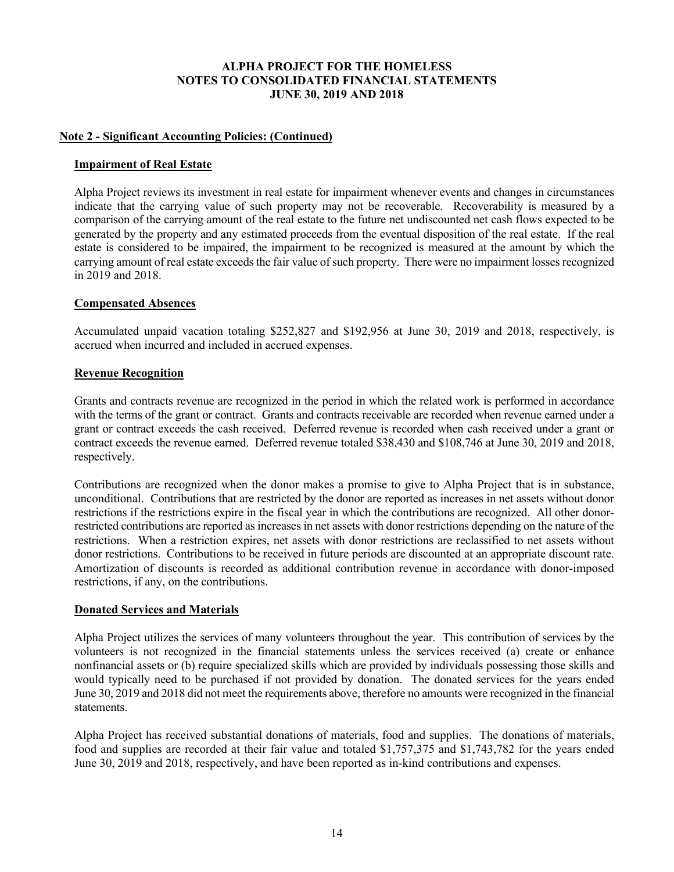#### **Note 2 - Significant Accounting Policies: (Continued)**

#### **Impairment of Real Estate**

Alpha Project reviews its investment in real estate for impairment whenever events and changes in circumstances indicate that the carrying value of such property may not be recoverable. Recoverability is measured by a comparison of the carrying amount of the real estate to the future net undiscounted net cash flows expected to be generated by the property and any estimated proceeds from the eventual disposition of the real estate. If the real estate is considered to be impaired, the impairment to be recognized is measured at the amount by which the carrying amount of real estate exceeds the fair value of such property. There were no impairment losses recognized in 2019 and 2018.

#### **Compensated Absences**

Accumulated unpaid vacation totaling \$252,827 and \$192,956 at June 30, 2019 and 2018, respectively, is accrued when incurred and included in accrued expenses.

#### **Revenue Recognition**

Grants and contracts revenue are recognized in the period in which the related work is performed in accordance with the terms of the grant or contract. Grants and contracts receivable are recorded when revenue earned under a grant or contract exceeds the cash received. Deferred revenue is recorded when cash received under a grant or contract exceeds the revenue earned. Deferred revenue totaled \$38,430 and \$108,746 at June 30, 2019 and 2018, respectively.

Contributions are recognized when the donor makes a promise to give to Alpha Project that is in substance, unconditional. Contributions that are restricted by the donor are reported as increases in net assets without donor restrictions if the restrictions expire in the fiscal year in which the contributions are recognized. All other donorrestricted contributions are reported as increases in net assets with donor restrictions depending on the nature of the restrictions. When a restriction expires, net assets with donor restrictions are reclassified to net assets without donor restrictions. Contributions to be received in future periods are discounted at an appropriate discount rate. Amortization of discounts is recorded as additional contribution revenue in accordance with donor-imposed restrictions, if any, on the contributions.

#### **Donated Services and Materials**

Alpha Project utilizes the services of many volunteers throughout the year. This contribution of services by the volunteers is not recognized in the financial statements unless the services received (a) create or enhance nonfinancial assets or (b) require specialized skills which are provided by individuals possessing those skills and would typically need to be purchased if not provided by donation. The donated services for the years ended June 30, 2019 and 2018 did not meet the requirements above, therefore no amounts were recognized in the financial statements.

Alpha Project has received substantial donations of materials, food and supplies. The donations of materials, food and supplies are recorded at their fair value and totaled \$1,757,375 and \$1,743,782 for the years ended June 30, 2019 and 2018, respectively, and have been reported as in-kind contributions and expenses.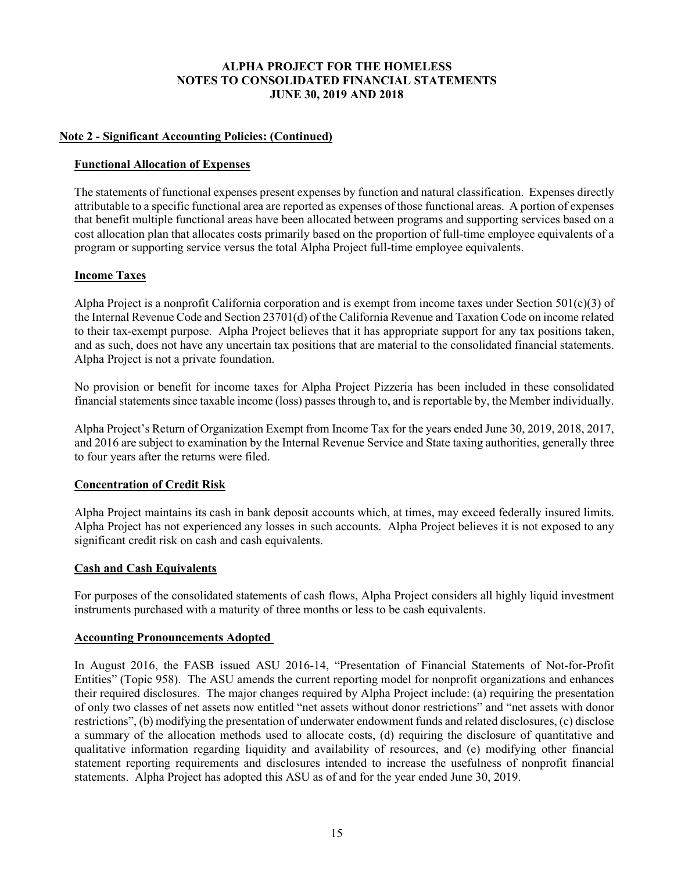### **Note 2 - Significant Accounting Policies: (Continued)**

#### **Functional Allocation of Expenses**

The statements of functional expenses present expenses by function and natural classification. Expenses directly attributable to a specific functional area are reported as expenses of those functional areas. A portion of expenses that benefit multiple functional areas have been allocated between programs and supporting services based on a cost allocation plan that allocates costs primarily based on the proportion of full-time employee equivalents of a program or supporting service versus the total Alpha Project full-time employee equivalents.

### **Income Taxes**

Alpha Project is a nonprofit California corporation and is exempt from income taxes under Section 501(c)(3) of the Internal Revenue Code and Section 23701(d) of the California Revenue and Taxation Code on income related to their tax-exempt purpose. Alpha Project believes that it has appropriate support for any tax positions taken, and as such, does not have any uncertain tax positions that are material to the consolidated financial statements. Alpha Project is not a private foundation.

No provision or benefit for income taxes for Alpha Project Pizzeria has been included in these consolidated financial statements since taxable income (loss) passes through to, and is reportable by, the Member individually.

Alpha Project's Return of Organization Exempt from Income Tax for the years ended June 30, 2019, 2018, 2017, and 2016 are subject to examination by the Internal Revenue Service and State taxing authorities, generally three to four years after the returns were filed.

#### **Concentration of Credit Risk**

Alpha Project maintains its cash in bank deposit accounts which, at times, may exceed federally insured limits. Alpha Project has not experienced any losses in such accounts. Alpha Project believes it is not exposed to any significant credit risk on cash and cash equivalents.

#### **Cash and Cash Equivalents**

For purposes of the consolidated statements of cash flows, Alpha Project considers all highly liquid investment instruments purchased with a maturity of three months or less to be cash equivalents.

### **Accounting Pronouncements Adopted**

In August 2016, the FASB issued ASU 2016-14, "Presentation of Financial Statements of Not-for-Profit Entities" (Topic 958). The ASU amends the current reporting model for nonprofit organizations and enhances their required disclosures. The major changes required by Alpha Project include: (a) requiring the presentation of only two classes of net assets now entitled "net assets without donor restrictions" and "net assets with donor restrictions", (b) modifying the presentation of underwater endowment funds and related disclosures, (c) disclose a summary of the allocation methods used to allocate costs, (d) requiring the disclosure of quantitative and qualitative information regarding liquidity and availability of resources, and (e) modifying other financial statement reporting requirements and disclosures intended to increase the usefulness of nonprofit financial statements. Alpha Project has adopted this ASU as of and for the year ended June 30, 2019.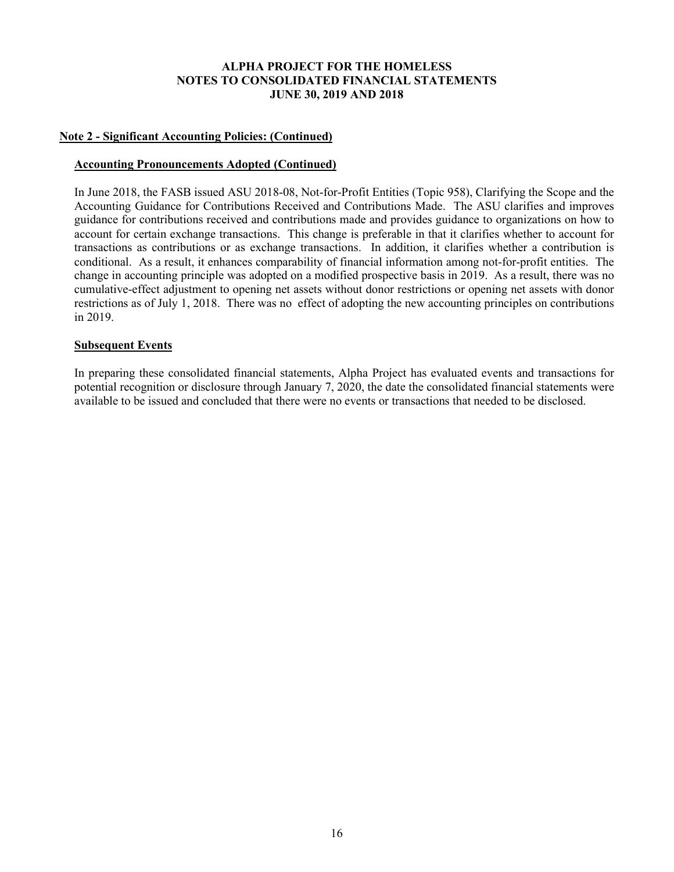#### **Note 2 - Significant Accounting Policies: (Continued)**

#### **Accounting Pronouncements Adopted (Continued)**

In June 2018, the FASB issued ASU 2018-08, Not-for-Profit Entities (Topic 958), Clarifying the Scope and the Accounting Guidance for Contributions Received and Contributions Made. The ASU clarifies and improves guidance for contributions received and contributions made and provides guidance to organizations on how to account for certain exchange transactions. This change is preferable in that it clarifies whether to account for transactions as contributions or as exchange transactions. In addition, it clarifies whether a contribution is conditional. As a result, it enhances comparability of financial information among not-for-profit entities. The change in accounting principle was adopted on a modified prospective basis in 2019. As a result, there was no cumulative-effect adjustment to opening net assets without donor restrictions or opening net assets with donor restrictions as of July 1, 2018. There was no effect of adopting the new accounting principles on contributions in 2019.

#### **Subsequent Events**

In preparing these consolidated financial statements, Alpha Project has evaluated events and transactions for potential recognition or disclosure through January 7, 2020, the date the consolidated financial statements were available to be issued and concluded that there were no events or transactions that needed to be disclosed.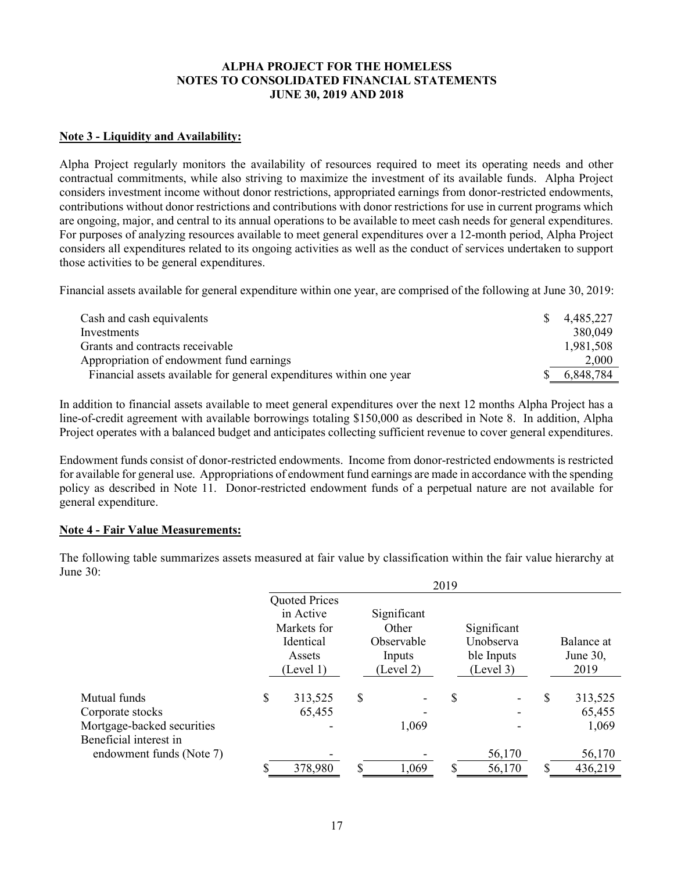### **Note 3 - Liquidity and Availability:**

Alpha Project regularly monitors the availability of resources required to meet its operating needs and other contractual commitments, while also striving to maximize the investment of its available funds. Alpha Project considers investment income without donor restrictions, appropriated earnings from donor-restricted endowments, contributions without donor restrictions and contributions with donor restrictions for use in current programs which are ongoing, major, and central to its annual operations to be available to meet cash needs for general expenditures. For purposes of analyzing resources available to meet general expenditures over a 12-month period, Alpha Project considers all expenditures related to its ongoing activities as well as the conduct of services undertaken to support those activities to be general expenditures.

Financial assets available for general expenditure within one year, are comprised of the following at June 30, 2019:

| Cash and cash equivalents                                           | 4,485,227 |
|---------------------------------------------------------------------|-----------|
| Investments                                                         | 380,049   |
| Grants and contracts receivable                                     | 1,981,508 |
| Appropriation of endowment fund earnings                            | 2,000     |
| Financial assets available for general expenditures within one year | 6,848,784 |

In addition to financial assets available to meet general expenditures over the next 12 months Alpha Project has a line-of-credit agreement with available borrowings totaling \$150,000 as described in Note 8. In addition, Alpha Project operates with a balanced budget and anticipates collecting sufficient revenue to cover general expenditures.

Endowment funds consist of donor-restricted endowments. Income from donor-restricted endowments is restricted for available for general use. Appropriations of endowment fund earnings are made in accordance with the spending policy as described in Note 11. Donor-restricted endowment funds of a perpetual nature are not available for general expenditure.

#### **Note 4 - Fair Value Measurements:**

The following table summarizes assets measured at fair value by classification within the fair value hierarchy at June 30:

|                            |                      |    |             | 2019 |             |     |            |
|----------------------------|----------------------|----|-------------|------|-------------|-----|------------|
|                            | <b>Quoted Prices</b> |    |             |      |             |     |            |
|                            | in Active            |    | Significant |      |             |     |            |
|                            | Markets for          |    | Other       |      | Significant |     |            |
|                            | Identical            |    | Observable  |      | Unobserva   |     | Balance at |
|                            | Assets               |    | Inputs      |      | ble Inputs  |     | June 30,   |
|                            | (Level 1)            |    | (Level 2)   |      | (Level 3)   |     | 2019       |
|                            |                      |    |             |      |             |     |            |
| Mutual funds               | \$<br>313,525        | \$ |             | \$   |             | \$  | 313,525    |
| Corporate stocks           | 65,455               |    |             |      |             |     | 65,455     |
| Mortgage-backed securities |                      |    | 1,069       |      |             |     | 1,069      |
| Beneficial interest in     |                      |    |             |      |             |     |            |
| endowment funds (Note 7)   |                      |    |             |      | 56,170      |     | 56,170     |
|                            | 378,980              | ۰D | 1,069       |      | 56,170      | ۰D. | 436,219    |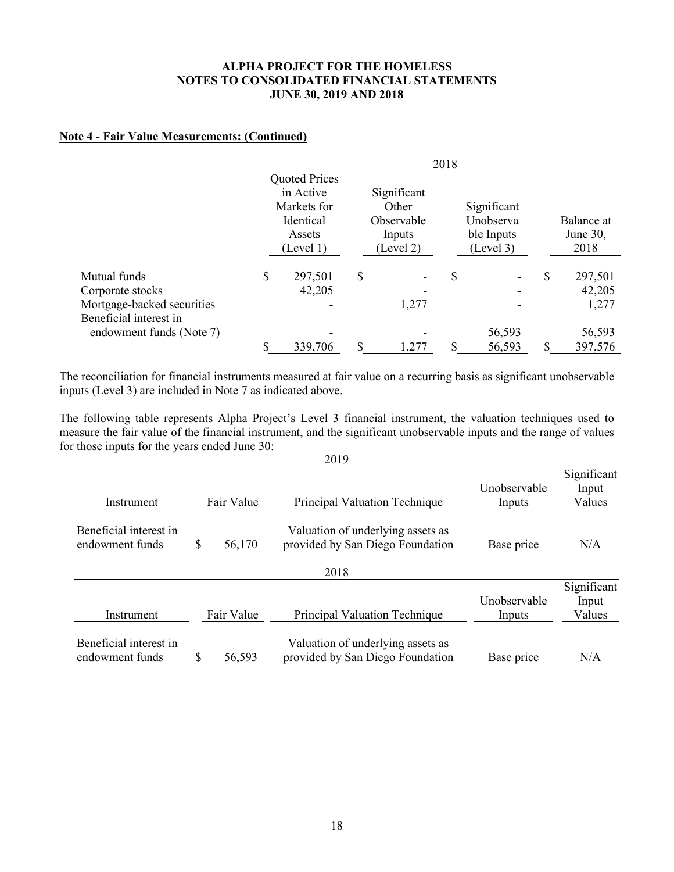# **Note 4 - Fair Value Measurements: (Continued)**

|                                                      |                                   |                                  | 2018 |                                      |   |                                |
|------------------------------------------------------|-----------------------------------|----------------------------------|------|--------------------------------------|---|--------------------------------|
|                                                      | <b>Quoted Prices</b><br>in Active |                                  |      |                                      |   |                                |
|                                                      | Markets for                       | Significant<br>Other             |      | Significant                          |   |                                |
|                                                      | Identical<br>Assets<br>(Level 1)  | Observable<br>Inputs<br>(Level 2 |      | Unobserva<br>ble Inputs<br>(Level 3) |   | Balance at<br>June 30,<br>2018 |
| Mutual funds                                         | \$<br>297,501                     | \$                               | \$   |                                      | S | 297,501                        |
| Corporate stocks                                     | 42,205                            |                                  |      |                                      |   | 42,205                         |
| Mortgage-backed securities<br>Beneficial interest in |                                   | 1,277                            |      |                                      |   | 1,277                          |
| endowment funds (Note 7)                             |                                   |                                  |      | 56,593                               |   | 56,593                         |
|                                                      | 339,706                           | 1,277                            |      | 56,593                               | Ф | 397,576                        |

The reconciliation for financial instruments measured at fair value on a recurring basis as significant unobservable inputs (Level 3) are included in Note 7 as indicated above.

The following table represents Alpha Project's Level 3 financial instrument, the valuation techniques used to measure the fair value of the financial instrument, and the significant unobservable inputs and the range of values for those inputs for the years ended June 30:  $2010$ 

|                                           |              | 2017                                                                          |                               |                                |
|-------------------------------------------|--------------|-------------------------------------------------------------------------------|-------------------------------|--------------------------------|
| Instrument                                | Fair Value   | Principal Valuation Technique                                                 | <b>Unobservable</b><br>Inputs | Significant<br>Input<br>Values |
| Beneficial interest in<br>endowment funds | \$<br>56,170 | Valuation of underlying assets as<br>provided by San Diego Foundation<br>2018 | Base price                    | N/A                            |
|                                           |              |                                                                               |                               | Significant                    |
|                                           |              |                                                                               | Unobservable                  | Input                          |
| Instrument                                | Fair Value   | Principal Valuation Technique                                                 | Inputs                        | Values                         |
| Beneficial interest in<br>endowment funds | \$<br>56,593 | Valuation of underlying assets as<br>provided by San Diego Foundation         | Base price                    | N/A                            |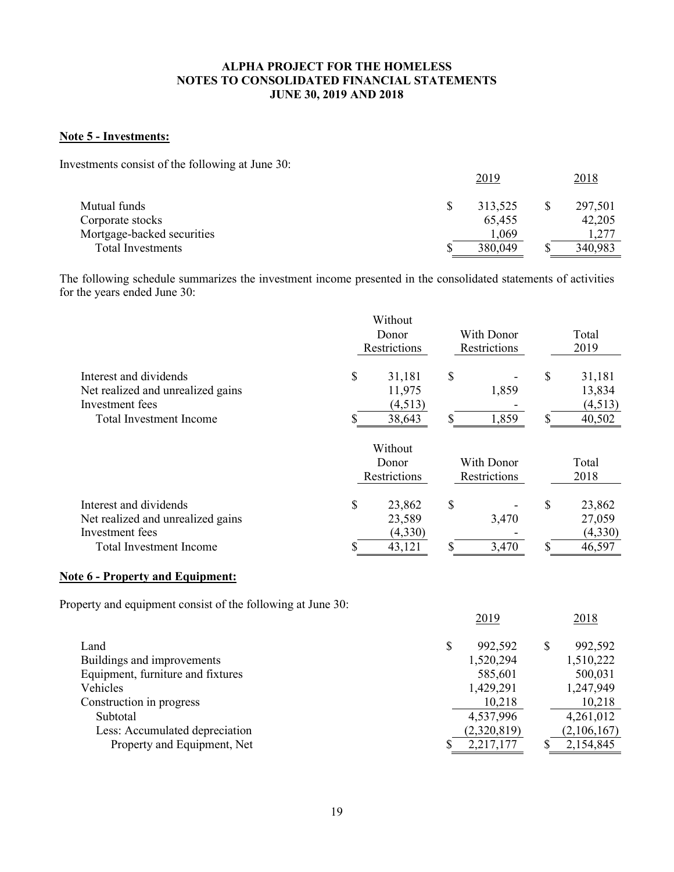# **Note 5 - Investments:**

Investments consist of the following at June 30:

|                            | <u>2019</u> |         |  | 2018    |  |  |
|----------------------------|-------------|---------|--|---------|--|--|
| Mutual funds               |             | 313,525 |  | 297,501 |  |  |
| Corporate stocks           |             | 65,455  |  | 42,205  |  |  |
| Mortgage-backed securities |             | 1.069   |  | l.277   |  |  |
| <b>Total Investments</b>   |             | 380,049 |  | 340,983 |  |  |

The following schedule summarizes the investment income presented in the consolidated statements of activities for the years ended June 30:

|                                   |    | Without<br>Donor<br>Restrictions |    | With Donor<br>Restrictions | Total<br>2019 |                            |  |               |
|-----------------------------------|----|----------------------------------|----|----------------------------|---------------|----------------------------|--|---------------|
| Interest and dividends            | \$ | 31,181                           | \$ |                            | \$            | 31,181                     |  |               |
| Net realized and unrealized gains |    | 11,975                           |    | 1,859                      |               | 13,834                     |  |               |
| Investment fees                   |    | (4,513)                          |    |                            |               | (4,513)                    |  |               |
| Total Investment Income           | S  | 38,643                           | S  | 1,859                      | \$            | 40,502                     |  |               |
|                                   |    | Without<br>Donor<br>Restrictions |    |                            |               | With Donor<br>Restrictions |  | Total<br>2018 |
| Interest and dividends            | \$ | 23,862                           | \$ |                            | \$            | 23,862                     |  |               |
| Net realized and unrealized gains |    | 23,589                           |    | 3,470                      |               | 27,059                     |  |               |
| Investment fees                   |    | (4,330)                          |    |                            |               | (4,330)                    |  |               |
| <b>Total Investment Income</b>    |    | 43,121                           |    | 3,470                      | S             | 46,597                     |  |               |

#### **Note 6 - Property and Equipment:**

Property and equipment consist of the following at June 30:

|                                   | 2019        | 2018          |
|-----------------------------------|-------------|---------------|
| Land                              | 992,592     | \$<br>992,592 |
| Buildings and improvements        | 1,520,294   | 1,510,222     |
| Equipment, furniture and fixtures | 585,601     | 500,031       |
| Vehicles                          | 1,429,291   | 1,247,949     |
| Construction in progress          | 10,218      | 10,218        |
| Subtotal                          | 4,537,996   | 4,261,012     |
| Less: Accumulated depreciation    | (2,320,819) | (2,106,167)   |
| Property and Equipment, Net       | 2,217,177   | 2,154,845     |
|                                   |             |               |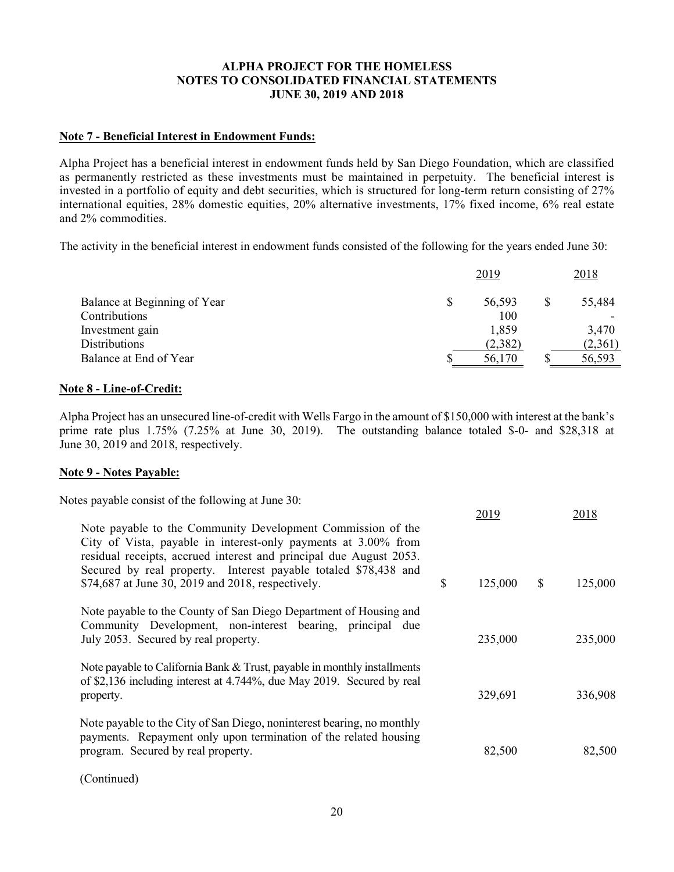### **Note 7 - Beneficial Interest in Endowment Funds:**

Alpha Project has a beneficial interest in endowment funds held by San Diego Foundation, which are classified as permanently restricted as these investments must be maintained in perpetuity. The beneficial interest is invested in a portfolio of equity and debt securities, which is structured for long-term return consisting of 27% international equities, 28% domestic equities, 20% alternative investments, 17% fixed income, 6% real estate and 2% commodities.

The activity in the beneficial interest in endowment funds consisted of the following for the years ended June 30:

|                              | 2019    |    |         |
|------------------------------|---------|----|---------|
| Balance at Beginning of Year | 56,593  | \$ | 55,484  |
| Contributions                | 100     |    |         |
| Investment gain              | 1,859   |    | 3,470   |
| <b>Distributions</b>         | (2,382) |    | (2,361) |
| Balance at End of Year       | 56,170  |    | 56,593  |

#### **Note 8 - Line-of-Credit:**

Alpha Project has an unsecured line-of-credit with Wells Fargo in the amount of \$150,000 with interest at the bank's prime rate plus 1.75% (7.25% at June 30, 2019). The outstanding balance totaled \$-0- and \$28,318 at June 30, 2019 and 2018, respectively.

### **Note 9 - Notes Payable:**

Notes payable consist of the following at June 30:

| Note payable to the Community Development Commission of the<br>City of Vista, payable in interest-only payments at 3.00% from<br>residual receipts, accrued interest and principal due August 2053. | 2019          | 2018          |
|-----------------------------------------------------------------------------------------------------------------------------------------------------------------------------------------------------|---------------|---------------|
| Secured by real property. Interest payable totaled \$78,438 and<br>\$74,687 at June 30, 2019 and 2018, respectively.                                                                                | \$<br>125,000 | \$<br>125,000 |
| Note payable to the County of San Diego Department of Housing and<br>Community Development, non-interest bearing, principal due<br>July 2053. Secured by real property.                             | 235,000       | 235,000       |
| Note payable to California Bank & Trust, payable in monthly installments<br>of \$2,136 including interest at 4.744%, due May 2019. Secured by real<br>property.                                     | 329,691       | 336,908       |
| Note payable to the City of San Diego, noninterest bearing, no monthly<br>payments. Repayment only upon termination of the related housing<br>program. Secured by real property.                    | 82,500        | 82,500        |

(Continued)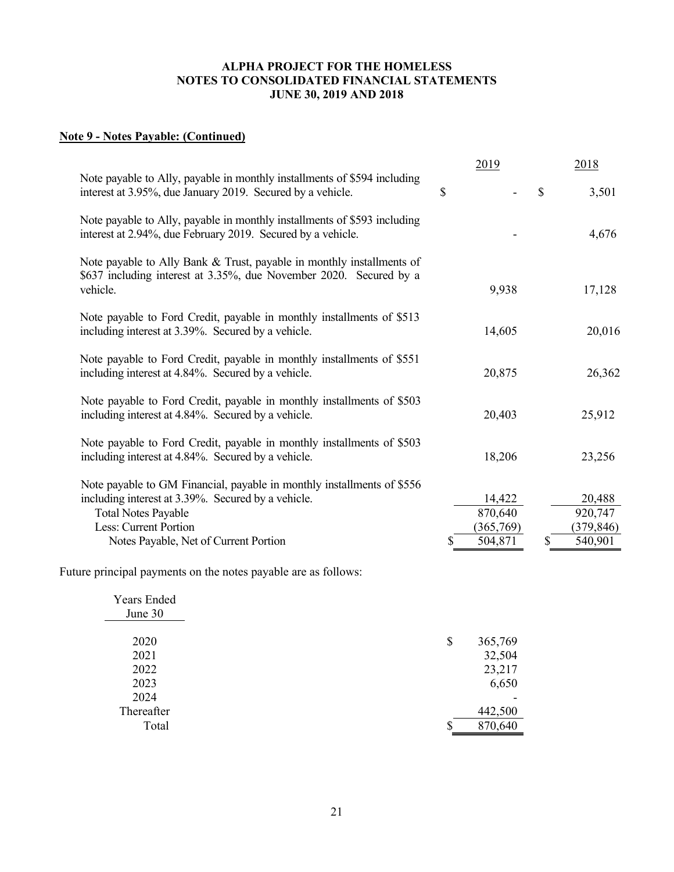# **Note 9 - Notes Payable: (Continued)**

|                                                                                                                                                                                                                              | 2019                                             | 2018                                       |
|------------------------------------------------------------------------------------------------------------------------------------------------------------------------------------------------------------------------------|--------------------------------------------------|--------------------------------------------|
| Note payable to Ally, payable in monthly installments of \$594 including<br>interest at 3.95%, due January 2019. Secured by a vehicle.                                                                                       | \$                                               | \$<br>3,501                                |
| Note payable to Ally, payable in monthly installments of \$593 including<br>interest at 2.94%, due February 2019. Secured by a vehicle.                                                                                      |                                                  | 4,676                                      |
| Note payable to Ally Bank & Trust, payable in monthly installments of<br>\$637 including interest at 3.35%, due November 2020. Secured by a<br>vehicle.                                                                      | 9,938                                            | 17,128                                     |
| Note payable to Ford Credit, payable in monthly installments of \$513<br>including interest at 3.39%. Secured by a vehicle.                                                                                                  | 14,605                                           | 20,016                                     |
| Note payable to Ford Credit, payable in monthly installments of \$551<br>including interest at 4.84%. Secured by a vehicle.                                                                                                  | 20,875                                           | 26,362                                     |
| Note payable to Ford Credit, payable in monthly installments of \$503<br>including interest at 4.84%. Secured by a vehicle.                                                                                                  | 20,403                                           | 25,912                                     |
| Note payable to Ford Credit, payable in monthly installments of \$503<br>including interest at 4.84%. Secured by a vehicle.                                                                                                  | 18,206                                           | 23,256                                     |
| Note payable to GM Financial, payable in monthly installments of \$556<br>including interest at 3.39%. Secured by a vehicle.<br><b>Total Notes Payable</b><br>Less: Current Portion<br>Notes Payable, Net of Current Portion | \$<br>14,422<br>870,640<br>(365, 769)<br>504,871 | 20,488<br>920,747<br>(379, 846)<br>540,901 |
| Future principal payments on the notes payable are as follows:                                                                                                                                                               |                                                  |                                            |
| Years Ended<br>June 30                                                                                                                                                                                                       |                                                  |                                            |

| 2020       | \$<br>365,769 |
|------------|---------------|
| 2021       | 32,504        |
| 2022       | 23,217        |
| 2023       | 6,650         |
| 2024       |               |
| Thereafter | 442,500       |
| Total      | 870,640       |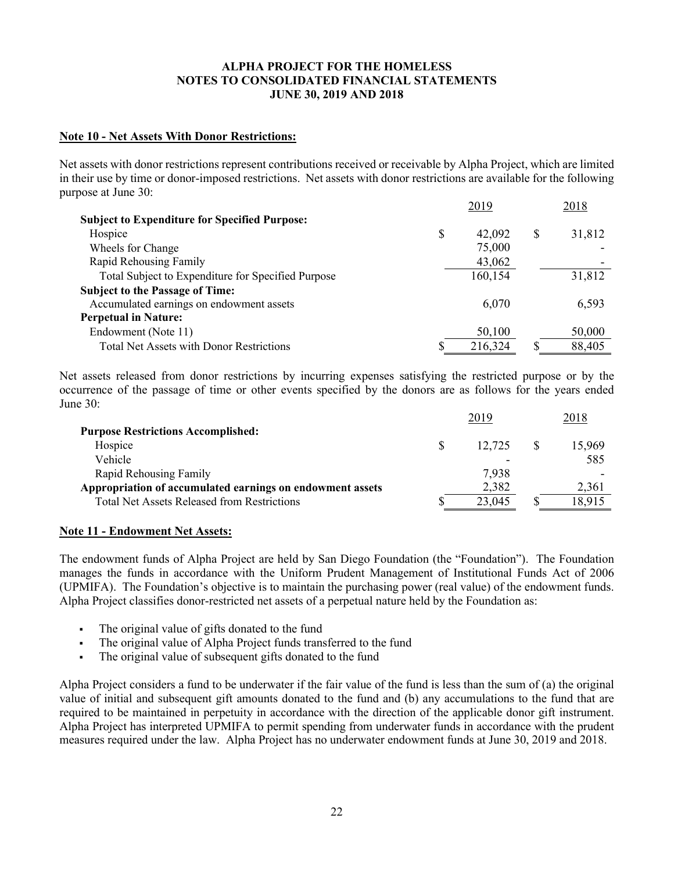#### **Note 10 - Net Assets With Donor Restrictions:**

Net assets with donor restrictions represent contributions received or receivable by Alpha Project, which are limited in their use by time or donor-imposed restrictions. Net assets with donor restrictions are available for the following purpose at June 30:

|                                                      | 2019 |         |   | 2018   |  |
|------------------------------------------------------|------|---------|---|--------|--|
| <b>Subject to Expenditure for Specified Purpose:</b> |      |         |   |        |  |
| Hospice                                              | \$   | 42,092  | S | 31,812 |  |
| Wheels for Change                                    |      | 75,000  |   |        |  |
| Rapid Rehousing Family                               |      | 43,062  |   |        |  |
| Total Subject to Expenditure for Specified Purpose   |      | 160,154 |   | 31,812 |  |
| <b>Subject to the Passage of Time:</b>               |      |         |   |        |  |
| Accumulated earnings on endowment assets             |      | 6,070   |   | 6,593  |  |
| <b>Perpetual in Nature:</b>                          |      |         |   |        |  |
| Endowment (Note 11)                                  |      | 50,100  |   | 50,000 |  |
| <b>Total Net Assets with Donor Restrictions</b>      |      | 216,324 |   | 88,405 |  |

Net assets released from donor restrictions by incurring expenses satisfying the restricted purpose or by the occurrence of the passage of time or other events specified by the donors are as follows for the years ended June 30:

|                                                           | 2019   |  |        |  |
|-----------------------------------------------------------|--------|--|--------|--|
| <b>Purpose Restrictions Accomplished:</b>                 |        |  |        |  |
| Hospice                                                   | 12,725 |  | 15,969 |  |
| Vehicle                                                   |        |  | 585    |  |
| Rapid Rehousing Family                                    | 7,938  |  |        |  |
| Appropriation of accumulated earnings on endowment assets | 2,382  |  | 2,361  |  |
| <b>Total Net Assets Released from Restrictions</b>        | 23.045 |  | 18.915 |  |
|                                                           |        |  |        |  |

#### **Note 11 - Endowment Net Assets:**

The endowment funds of Alpha Project are held by San Diego Foundation (the "Foundation"). The Foundation manages the funds in accordance with the Uniform Prudent Management of Institutional Funds Act of 2006 (UPMIFA). The Foundation's objective is to maintain the purchasing power (real value) of the endowment funds. Alpha Project classifies donor-restricted net assets of a perpetual nature held by the Foundation as:

- The original value of gifts donated to the fund
- The original value of Alpha Project funds transferred to the fund
- The original value of subsequent gifts donated to the fund

Alpha Project considers a fund to be underwater if the fair value of the fund is less than the sum of (a) the original value of initial and subsequent gift amounts donated to the fund and (b) any accumulations to the fund that are required to be maintained in perpetuity in accordance with the direction of the applicable donor gift instrument. Alpha Project has interpreted UPMIFA to permit spending from underwater funds in accordance with the prudent measures required under the law. Alpha Project has no underwater endowment funds at June 30, 2019 and 2018.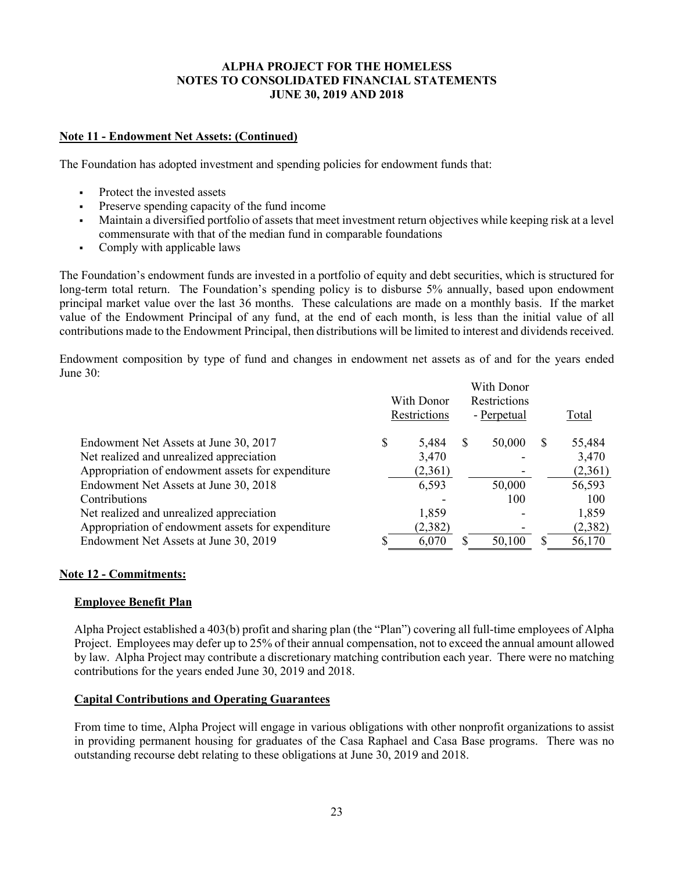### **Note 11 - Endowment Net Assets: (Continued)**

The Foundation has adopted investment and spending policies for endowment funds that:

- Protect the invested assets
- Preserve spending capacity of the fund income
- Maintain a diversified portfolio of assets that meet investment return objectives while keeping risk at a level commensurate with that of the median fund in comparable foundations
- Comply with applicable laws

The Foundation's endowment funds are invested in a portfolio of equity and debt securities, which is structured for long-term total return. The Foundation's spending policy is to disburse 5% annually, based upon endowment principal market value over the last 36 months. These calculations are made on a monthly basis. If the market value of the Endowment Principal of any fund, at the end of each month, is less than the initial value of all contributions made to the Endowment Principal, then distributions will be limited to interest and dividends received.

Endowment composition by type of fund and changes in endowment net assets as of and for the years ended June 30: With Donor

| Restrictions<br>- Perpetual<br>S<br>Endowment Net Assets at June 30, 2017<br>50,000<br>S<br>5,484<br>S<br>Net realized and unrealized appreciation<br>3,470<br>Appropriation of endowment assets for expenditure<br>(2,361)<br>Endowment Net Assets at June 30, 2018<br>6,593<br>50,000<br>Contributions<br>100<br>Net realized and unrealized appreciation<br>1,859<br>Appropriation of endowment assets for expenditure<br>(2,382) |                                       | With Donor |       |  | With Donor<br>Restrictions |  |          |  |
|--------------------------------------------------------------------------------------------------------------------------------------------------------------------------------------------------------------------------------------------------------------------------------------------------------------------------------------------------------------------------------------------------------------------------------------|---------------------------------------|------------|-------|--|----------------------------|--|----------|--|
|                                                                                                                                                                                                                                                                                                                                                                                                                                      |                                       |            |       |  |                            |  | Total    |  |
|                                                                                                                                                                                                                                                                                                                                                                                                                                      |                                       |            |       |  |                            |  | 55,484   |  |
|                                                                                                                                                                                                                                                                                                                                                                                                                                      |                                       |            |       |  |                            |  | 3,470    |  |
|                                                                                                                                                                                                                                                                                                                                                                                                                                      |                                       |            |       |  |                            |  | (2,361)  |  |
|                                                                                                                                                                                                                                                                                                                                                                                                                                      |                                       |            |       |  |                            |  | 56,593   |  |
|                                                                                                                                                                                                                                                                                                                                                                                                                                      |                                       |            |       |  |                            |  | 100      |  |
|                                                                                                                                                                                                                                                                                                                                                                                                                                      |                                       |            |       |  |                            |  | 1,859    |  |
|                                                                                                                                                                                                                                                                                                                                                                                                                                      |                                       |            |       |  |                            |  | (2, 382) |  |
|                                                                                                                                                                                                                                                                                                                                                                                                                                      | Endowment Net Assets at June 30, 2019 |            | 6,070 |  | 50,100                     |  | 56,170   |  |

### **Note 12 - Commitments:**

#### **Employee Benefit Plan**

Alpha Project established a 403(b) profit and sharing plan (the "Plan") covering all full-time employees of Alpha Project. Employees may defer up to 25% of their annual compensation, not to exceed the annual amount allowed by law. Alpha Project may contribute a discretionary matching contribution each year. There were no matching contributions for the years ended June 30, 2019 and 2018.

#### **Capital Contributions and Operating Guarantees**

From time to time, Alpha Project will engage in various obligations with other nonprofit organizations to assist in providing permanent housing for graduates of the Casa Raphael and Casa Base programs. There was no outstanding recourse debt relating to these obligations at June 30, 2019 and 2018.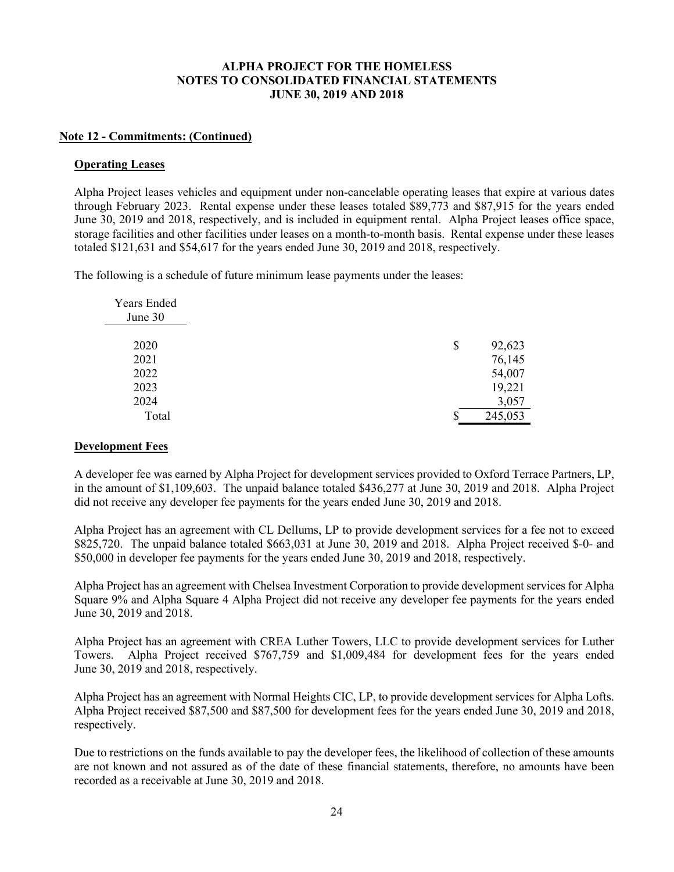#### **Note 12 - Commitments: (Continued)**

#### **Operating Leases**

Alpha Project leases vehicles and equipment under non-cancelable operating leases that expire at various dates through February 2023. Rental expense under these leases totaled \$89,773 and \$87,915 for the years ended June 30, 2019 and 2018, respectively, and is included in equipment rental. Alpha Project leases office space, storage facilities and other facilities under leases on a month-to-month basis. Rental expense under these leases totaled \$121,631 and \$54,617 for the years ended June 30, 2019 and 2018, respectively.

The following is a schedule of future minimum lease payments under the leases:

| <b>Years Ended</b><br>June 30 |               |
|-------------------------------|---------------|
|                               |               |
| 2020                          | \$<br>92,623  |
| 2021                          | 76,145        |
| 2022                          | 54,007        |
| 2023                          | 19,221        |
| 2024                          | 3,057         |
| Total                         | \$<br>245,053 |

#### **Development Fees**

A developer fee was earned by Alpha Project for development services provided to Oxford Terrace Partners, LP, in the amount of \$1,109,603. The unpaid balance totaled \$436,277 at June 30, 2019 and 2018. Alpha Project did not receive any developer fee payments for the years ended June 30, 2019 and 2018.

Alpha Project has an agreement with CL Dellums, LP to provide development services for a fee not to exceed \$825,720. The unpaid balance totaled \$663,031 at June 30, 2019 and 2018. Alpha Project received \$-0- and \$50,000 in developer fee payments for the years ended June 30, 2019 and 2018, respectively.

Alpha Project has an agreement with Chelsea Investment Corporation to provide development services for Alpha Square 9% and Alpha Square 4 Alpha Project did not receive any developer fee payments for the years ended June 30, 2019 and 2018.

Alpha Project has an agreement with CREA Luther Towers, LLC to provide development services for Luther Towers. Alpha Project received \$767,759 and \$1,009,484 for development fees for the years ended June 30, 2019 and 2018, respectively.

Alpha Project has an agreement with Normal Heights CIC, LP, to provide development services for Alpha Lofts. Alpha Project received \$87,500 and \$87,500 for development fees for the years ended June 30, 2019 and 2018, respectively.

Due to restrictions on the funds available to pay the developer fees, the likelihood of collection of these amounts are not known and not assured as of the date of these financial statements, therefore, no amounts have been recorded as a receivable at June 30, 2019 and 2018.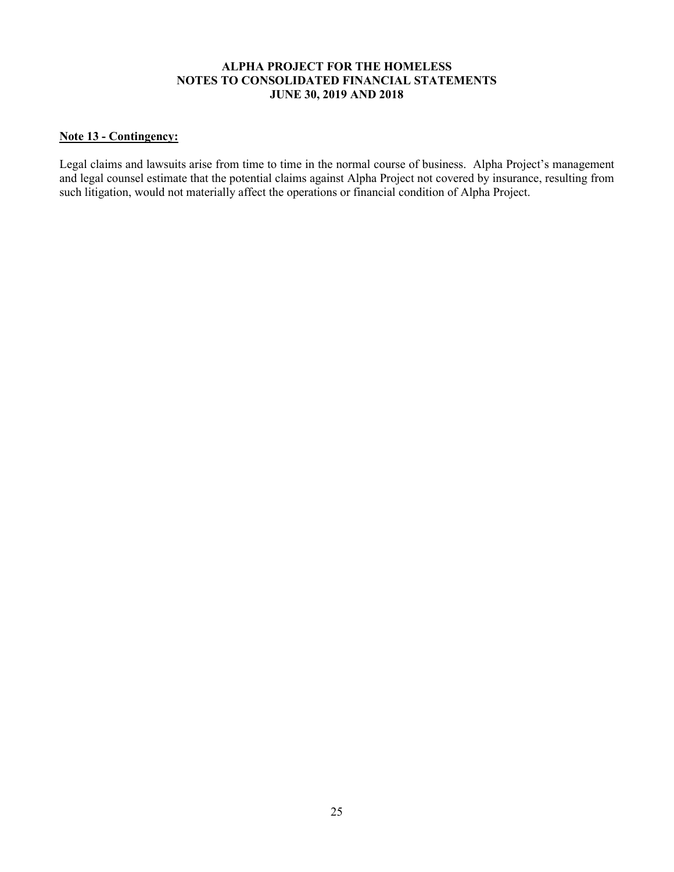# **Note 13 - Contingency:**

Legal claims and lawsuits arise from time to time in the normal course of business. Alpha Project's management and legal counsel estimate that the potential claims against Alpha Project not covered by insurance, resulting from such litigation, would not materially affect the operations or financial condition of Alpha Project.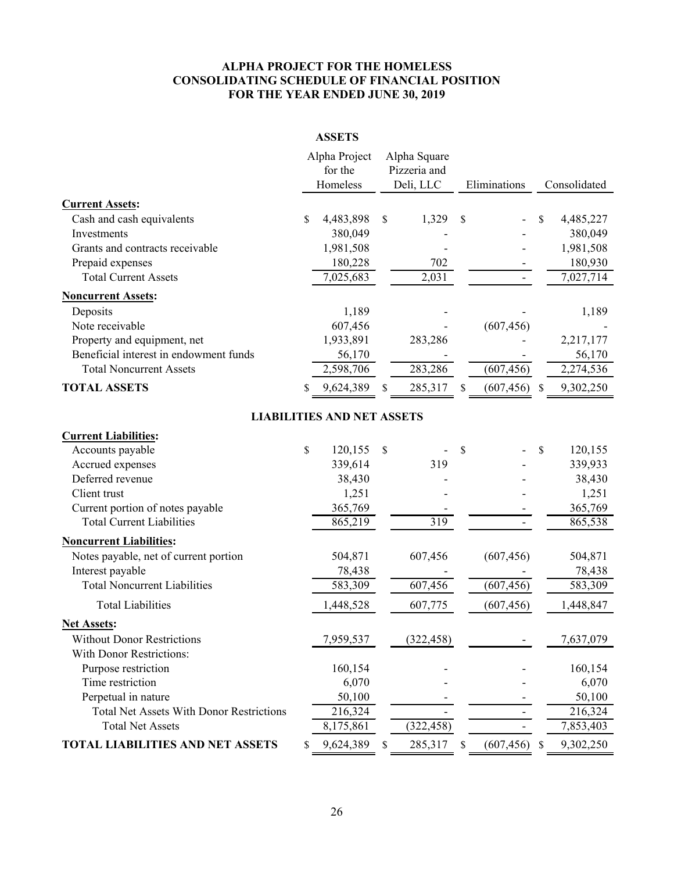### **ALPHA PROJECT FOR THE HOMELESS CONSOLIDATING SCHEDULE OF FINANCIAL POSITION FOR THE YEAR ENDED JUNE 30, 2019**

#### **ASSETS**

|                                                 |              | Alpha Project<br>for the          |      | Alpha Square<br>Pizzeria and |                  |     |              |
|-------------------------------------------------|--------------|-----------------------------------|------|------------------------------|------------------|-----|--------------|
|                                                 |              | Homeless                          |      | Deli, LLC                    | Eliminations     |     | Consolidated |
| <b>Current Assets:</b>                          |              |                                   |      |                              |                  |     |              |
| Cash and cash equivalents                       | \$           | 4,483,898                         | \$   | 1,329                        | \$               | \$  | 4,485,227    |
| Investments                                     |              | 380,049                           |      |                              |                  |     | 380,049      |
| Grants and contracts receivable                 |              | 1,981,508                         |      |                              |                  |     | 1,981,508    |
| Prepaid expenses                                |              | 180,228                           |      | 702                          |                  |     | 180,930      |
| <b>Total Current Assets</b>                     |              | 7,025,683                         |      | 2,031                        |                  |     | 7,027,714    |
| <b>Noncurrent Assets:</b>                       |              |                                   |      |                              |                  |     |              |
| Deposits                                        |              | 1,189                             |      |                              |                  |     | 1,189        |
| Note receivable                                 |              | 607,456                           |      |                              | (607, 456)       |     |              |
| Property and equipment, net                     |              | 1,933,891                         |      | 283,286                      |                  |     | 2,217,177    |
| Beneficial interest in endowment funds          |              | 56,170                            |      |                              |                  |     | 56,170       |
| <b>Total Noncurrent Assets</b>                  |              | 2,598,706                         |      | 283,286                      | (607, 456)       |     | 2,274,536    |
| <b>TOTAL ASSETS</b>                             |              | 9,624,389                         | S    | 285,317                      | \$<br>(607, 456) | S   | 9,302,250    |
|                                                 |              | <b>LIABILITIES AND NET ASSETS</b> |      |                              |                  |     |              |
| <b>Current Liabilities:</b>                     |              |                                   |      |                              |                  |     |              |
| Accounts payable                                | $\mathbb{S}$ | 120,155                           | \$   |                              | \$               | \$  | 120,155      |
| Accrued expenses                                |              | 339,614                           |      | 319                          |                  |     | 339,933      |
| Deferred revenue                                |              | 38,430                            |      |                              |                  |     | 38,430       |
| Client trust                                    |              | 1,251                             |      |                              |                  |     | 1,251        |
| Current portion of notes payable                |              | 365,769                           |      |                              |                  |     | 365,769      |
| <b>Total Current Liabilities</b>                |              | 865,219                           |      | 319                          |                  |     | 865,538      |
| <b>Noncurrent Liabilities:</b>                  |              |                                   |      |                              |                  |     |              |
| Notes payable, net of current portion           |              | 504,871                           |      | 607,456                      | (607, 456)       |     | 504,871      |
| Interest payable                                |              | 78,438                            |      |                              |                  |     | 78,438       |
| <b>Total Noncurrent Liabilities</b>             |              | 583,309                           |      | 607,456                      | (607, 456)       |     | 583,309      |
| <b>Total Liabilities</b>                        |              | 1,448,528                         |      | 607,775                      | (607, 456)       |     | 1,448,847    |
| <b>Net Assets:</b>                              |              |                                   |      |                              |                  |     |              |
| <b>Without Donor Restrictions</b>               |              | 7,959,537                         |      | (322, 458)                   |                  |     | 7,637,079    |
| With Donor Restrictions:                        |              |                                   |      |                              |                  |     |              |
| Purpose restriction                             |              | 160,154                           |      |                              |                  |     | 160,154      |
| Time restriction                                |              | 6,070                             |      |                              |                  |     | 6,070        |
| Perpetual in nature                             |              | 50,100                            |      |                              |                  |     | 50,100       |
| <b>Total Net Assets With Donor Restrictions</b> |              | 216,324                           |      |                              |                  |     | 216,324      |
| <b>Total Net Assets</b>                         |              | 8,175,861                         |      | (322, 458)                   |                  |     | 7,853,403    |
| <b>TOTAL LIABILITIES AND NET ASSETS</b>         | \$           | 9,624,389                         | $\$$ | 285,317                      | \$<br>(607, 456) | \$. | 9,302,250    |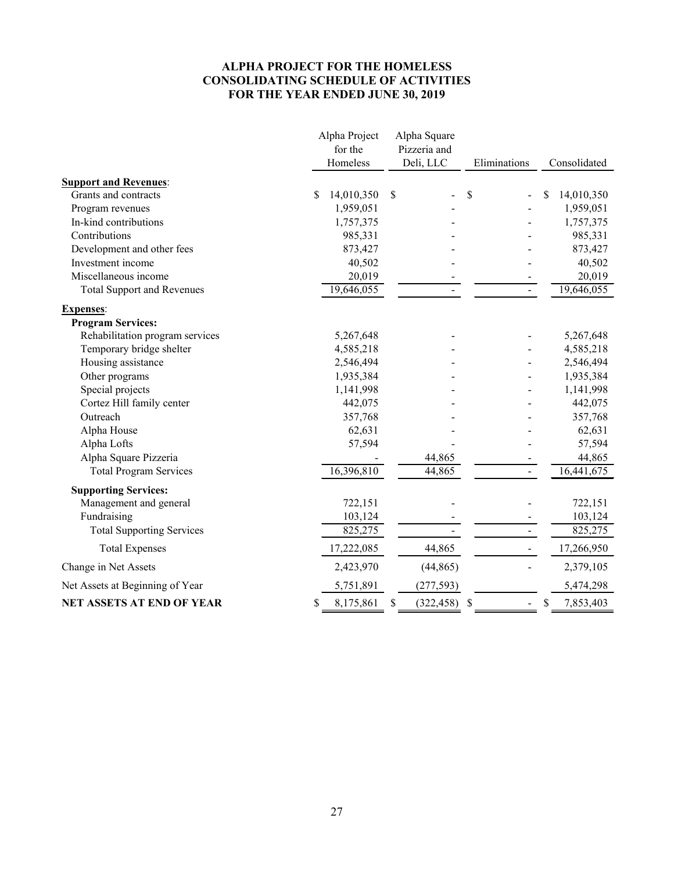### **ALPHA PROJECT FOR THE HOMELESS CONSOLIDATING SCHEDULE OF ACTIVITIES FOR THE YEAR ENDED JUNE 30, 2019**

|                                   | Alpha Project   | Alpha Square     |               |                  |
|-----------------------------------|-----------------|------------------|---------------|------------------|
|                                   | for the         | Pizzeria and     |               |                  |
|                                   | Homeless        | Deli, LLC        | Eliminations  | Consolidated     |
| <b>Support and Revenues:</b>      |                 |                  |               |                  |
| Grants and contracts              | 14,010,350<br>S | \$               | \$            | \$<br>14,010,350 |
| Program revenues                  | 1,959,051       |                  |               | 1,959,051        |
| In-kind contributions             | 1,757,375       |                  |               | 1,757,375        |
| Contributions                     | 985,331         |                  |               | 985,331          |
| Development and other fees        | 873,427         |                  |               | 873,427          |
| Investment income                 | 40,502          |                  |               | 40,502           |
| Miscellaneous income              | 20,019          |                  |               | 20,019           |
| <b>Total Support and Revenues</b> | 19,646,055      |                  |               | 19,646,055       |
| <b>Expenses:</b>                  |                 |                  |               |                  |
| <b>Program Services:</b>          |                 |                  |               |                  |
| Rehabilitation program services   | 5,267,648       |                  |               | 5,267,648        |
| Temporary bridge shelter          | 4,585,218       |                  |               | 4,585,218        |
| Housing assistance                | 2,546,494       |                  |               | 2,546,494        |
| Other programs                    | 1,935,384       |                  |               | 1,935,384        |
| Special projects                  | 1,141,998       |                  |               | 1,141,998        |
| Cortez Hill family center         | 442,075         |                  |               | 442,075          |
| Outreach                          | 357,768         |                  |               | 357,768          |
| Alpha House                       | 62,631          |                  |               | 62,631           |
| Alpha Lofts                       | 57,594          |                  |               | 57,594           |
| Alpha Square Pizzeria             |                 | 44,865           |               | 44,865           |
| <b>Total Program Services</b>     | 16,396,810      | 44,865           |               | 16,441,675       |
| <b>Supporting Services:</b>       |                 |                  |               |                  |
| Management and general            | 722,151         |                  |               | 722,151          |
| Fundraising                       | 103,124         |                  |               | 103,124          |
| <b>Total Supporting Services</b>  | 825,275         |                  |               | 825,275          |
| <b>Total Expenses</b>             | 17,222,085      | 44,865           |               | 17,266,950       |
| Change in Net Assets              | 2,423,970       | (44, 865)        |               | 2,379,105        |
| Net Assets at Beginning of Year   | 5,751,891       | (277, 593)       |               | 5,474,298        |
| <b>NET ASSETS AT END OF YEAR</b>  | \$<br>8,175,861 | \$<br>(322, 458) | $\mathcal{S}$ | \$<br>7,853,403  |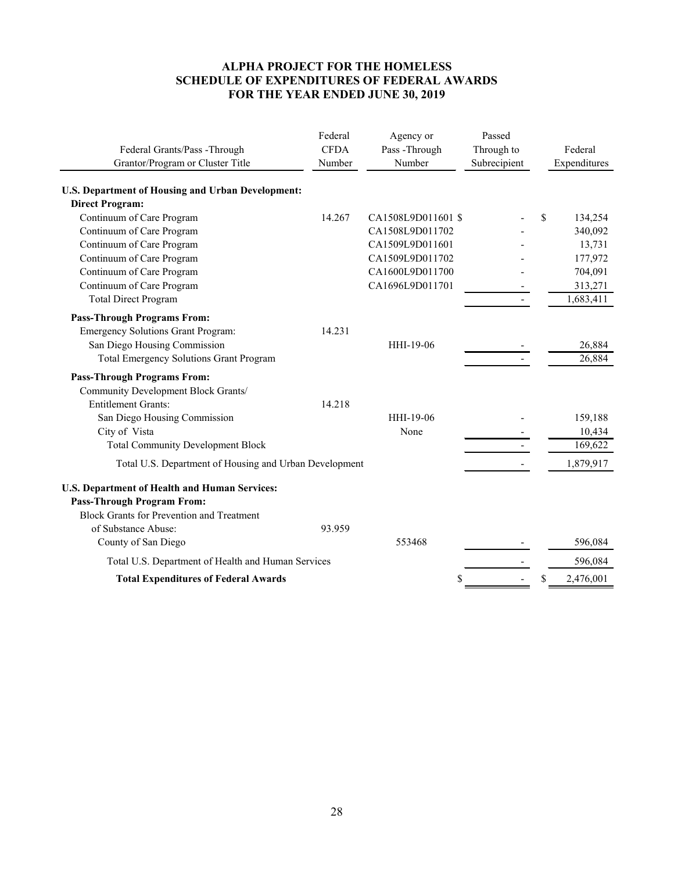### **ALPHA PROJECT FOR THE HOMELESS SCHEDULE OF EXPENDITURES OF FEDERAL AWARDS FOR THE YEAR ENDED JUNE 30, 2019**

| Federal Grants/Pass - Through<br>Grantor/Program or Cluster Title | Federal<br><b>CFDA</b><br>Number | Agency or<br>Pass - Through<br>Number | Passed<br>Through to<br>Subrecipient |    | Federal<br>Expenditures |
|-------------------------------------------------------------------|----------------------------------|---------------------------------------|--------------------------------------|----|-------------------------|
| <b>U.S. Department of Housing and Urban Development:</b>          |                                  |                                       |                                      |    |                         |
| <b>Direct Program:</b>                                            |                                  |                                       |                                      |    |                         |
| Continuum of Care Program                                         | 14.267                           | CA1508L9D011601 \$                    |                                      | \$ | 134,254                 |
| Continuum of Care Program                                         |                                  | CA1508L9D011702                       |                                      |    | 340,092                 |
| Continuum of Care Program                                         |                                  | CA1509L9D011601                       |                                      |    | 13,731                  |
| Continuum of Care Program                                         |                                  | CA1509L9D011702                       |                                      |    | 177,972                 |
| Continuum of Care Program                                         |                                  | CA1600L9D011700                       |                                      |    | 704,091                 |
| Continuum of Care Program                                         |                                  | CA1696L9D011701                       |                                      |    | 313,271                 |
| <b>Total Direct Program</b>                                       |                                  |                                       |                                      |    | 1,683,411               |
| <b>Pass-Through Programs From:</b>                                |                                  |                                       |                                      |    |                         |
| <b>Emergency Solutions Grant Program:</b>                         | 14.231                           |                                       |                                      |    |                         |
| San Diego Housing Commission                                      |                                  | HHI-19-06                             |                                      |    | 26,884                  |
| <b>Total Emergency Solutions Grant Program</b>                    |                                  |                                       |                                      |    | 26,884                  |
| <b>Pass-Through Programs From:</b>                                |                                  |                                       |                                      |    |                         |
| Community Development Block Grants/                               |                                  |                                       |                                      |    |                         |
| <b>Entitlement Grants:</b>                                        | 14.218                           |                                       |                                      |    |                         |
| San Diego Housing Commission                                      |                                  | HHI-19-06                             |                                      |    | 159,188                 |
| City of Vista                                                     |                                  | None                                  |                                      |    | 10,434                  |
| <b>Total Community Development Block</b>                          |                                  |                                       |                                      |    | 169,622                 |
| Total U.S. Department of Housing and Urban Development            |                                  |                                       |                                      |    | 1,879,917               |
| U.S. Department of Health and Human Services:                     |                                  |                                       |                                      |    |                         |
| <b>Pass-Through Program From:</b>                                 |                                  |                                       |                                      |    |                         |
| <b>Block Grants for Prevention and Treatment</b>                  |                                  |                                       |                                      |    |                         |
| of Substance Abuse:                                               | 93.959                           |                                       |                                      |    |                         |
| County of San Diego                                               |                                  | 553468                                |                                      |    | 596,084                 |
| Total U.S. Department of Health and Human Services                |                                  |                                       |                                      |    | 596,084                 |
| <b>Total Expenditures of Federal Awards</b>                       |                                  | \$                                    |                                      | S  | 2,476,001               |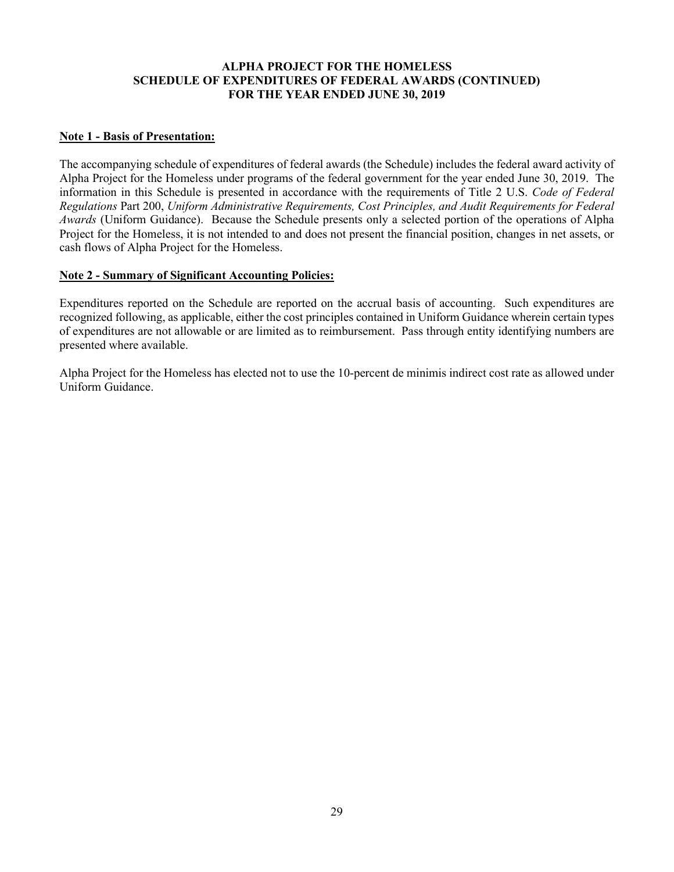### **ALPHA PROJECT FOR THE HOMELESS SCHEDULE OF EXPENDITURES OF FEDERAL AWARDS (CONTINUED) FOR THE YEAR ENDED JUNE 30, 2019**

#### **Note 1 - Basis of Presentation:**

The accompanying schedule of expenditures of federal awards (the Schedule) includes the federal award activity of Alpha Project for the Homeless under programs of the federal government for the year ended June 30, 2019. The information in this Schedule is presented in accordance with the requirements of Title 2 U.S. *Code of Federal Regulations* Part 200, *Uniform Administrative Requirements, Cost Principles, and Audit Requirements for Federal Awards* (Uniform Guidance). Because the Schedule presents only a selected portion of the operations of Alpha Project for the Homeless, it is not intended to and does not present the financial position, changes in net assets, or cash flows of Alpha Project for the Homeless.

### **Note 2 - Summary of Significant Accounting Policies:**

Expenditures reported on the Schedule are reported on the accrual basis of accounting. Such expenditures are recognized following, as applicable, either the cost principles contained in Uniform Guidance wherein certain types of expenditures are not allowable or are limited as to reimbursement. Pass through entity identifying numbers are presented where available.

Alpha Project for the Homeless has elected not to use the 10-percent de minimis indirect cost rate as allowed under Uniform Guidance.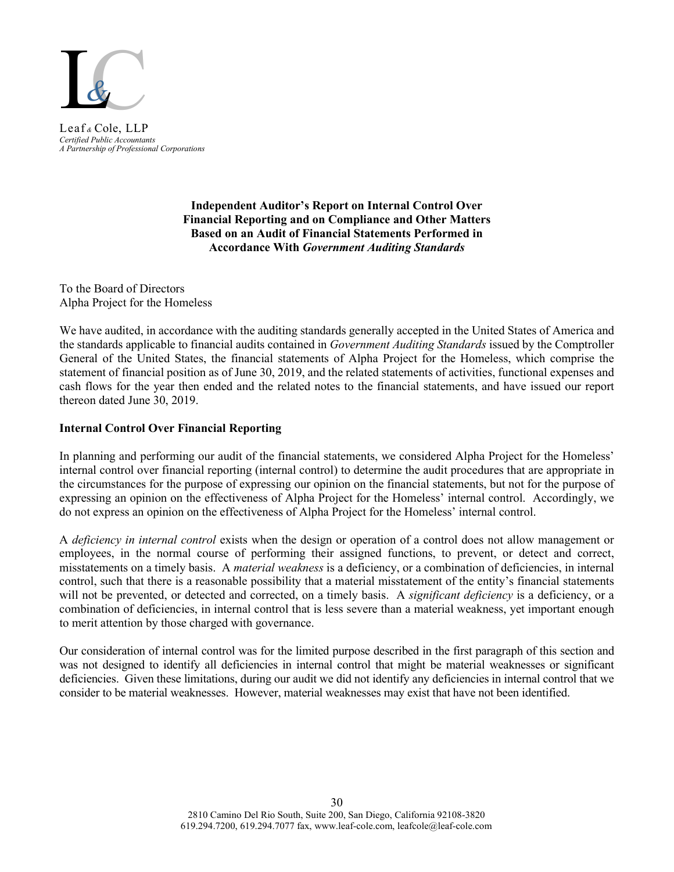

*Certified Public Accountants A Partnership of Professional Corporations* Leaf *&* Cole, LLP

> **Independent Auditor's Report on Internal Control Over Financial Reporting and on Compliance and Other Matters Based on an Audit of Financial Statements Performed in Accordance With** *Government Auditing Standards*

To the Board of Directors Alpha Project for the Homeless

We have audited, in accordance with the auditing standards generally accepted in the United States of America and the standards applicable to financial audits contained in *Government Auditing Standards* issued by the Comptroller General of the United States, the financial statements of Alpha Project for the Homeless, which comprise the statement of financial position as of June 30, 2019, and the related statements of activities, functional expenses and cash flows for the year then ended and the related notes to the financial statements, and have issued our report thereon dated June 30, 2019.

### **Internal Control Over Financial Reporting**

In planning and performing our audit of the financial statements, we considered Alpha Project for the Homeless' internal control over financial reporting (internal control) to determine the audit procedures that are appropriate in the circumstances for the purpose of expressing our opinion on the financial statements, but not for the purpose of expressing an opinion on the effectiveness of Alpha Project for the Homeless' internal control. Accordingly, we do not express an opinion on the effectiveness of Alpha Project for the Homeless' internal control.

A *deficiency in internal control* exists when the design or operation of a control does not allow management or employees, in the normal course of performing their assigned functions, to prevent, or detect and correct, misstatements on a timely basis. A *material weakness* is a deficiency, or a combination of deficiencies, in internal control, such that there is a reasonable possibility that a material misstatement of the entity's financial statements will not be prevented, or detected and corrected, on a timely basis. A *significant deficiency* is a deficiency, or a combination of deficiencies, in internal control that is less severe than a material weakness, yet important enough to merit attention by those charged with governance.

Our consideration of internal control was for the limited purpose described in the first paragraph of this section and was not designed to identify all deficiencies in internal control that might be material weaknesses or significant deficiencies. Given these limitations, during our audit we did not identify any deficiencies in internal control that we consider to be material weaknesses. However, material weaknesses may exist that have not been identified.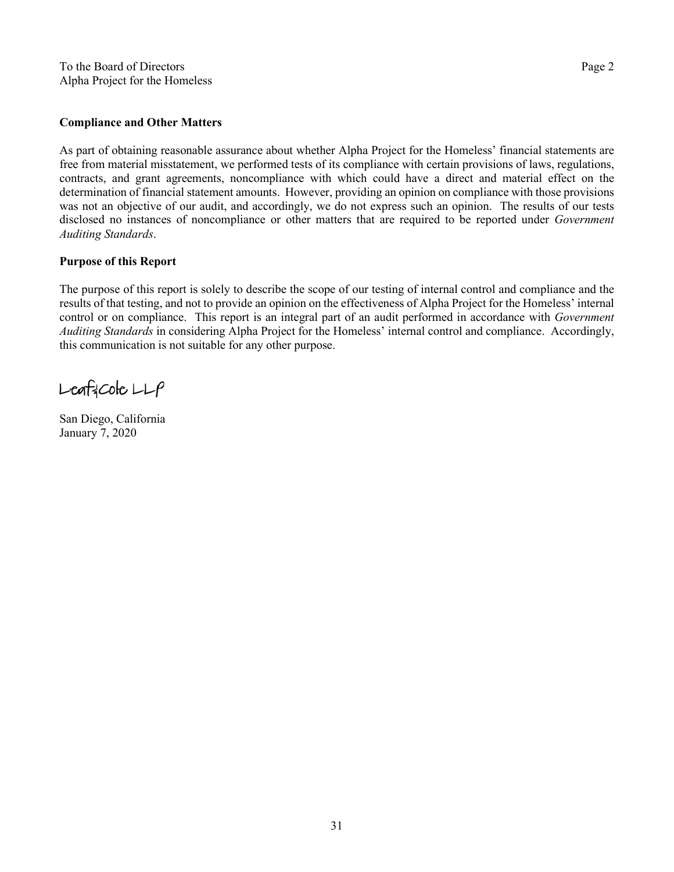#### **Compliance and Other Matters**

As part of obtaining reasonable assurance about whether Alpha Project for the Homeless' financial statements are free from material misstatement, we performed tests of its compliance with certain provisions of laws, regulations, contracts, and grant agreements, noncompliance with which could have a direct and material effect on the determination of financial statement amounts. However, providing an opinion on compliance with those provisions was not an objective of our audit, and accordingly, we do not express such an opinion. The results of our tests disclosed no instances of noncompliance or other matters that are required to be reported under *Government Auditing Standards*.

#### **Purpose of this Report**

The purpose of this report is solely to describe the scope of our testing of internal control and compliance and the results of that testing, and not to provide an opinion on the effectiveness of Alpha Project for the Homeless' internal control or on compliance. This report is an integral part of an audit performed in accordance with *Government Auditing Standards* in considering Alpha Project for the Homeless' internal control and compliance. Accordingly, this communication is not suitable for any other purpose.

 $L$ eaf: $C$ ole  $L L \rho$ 

San Diego, California January 7, 2020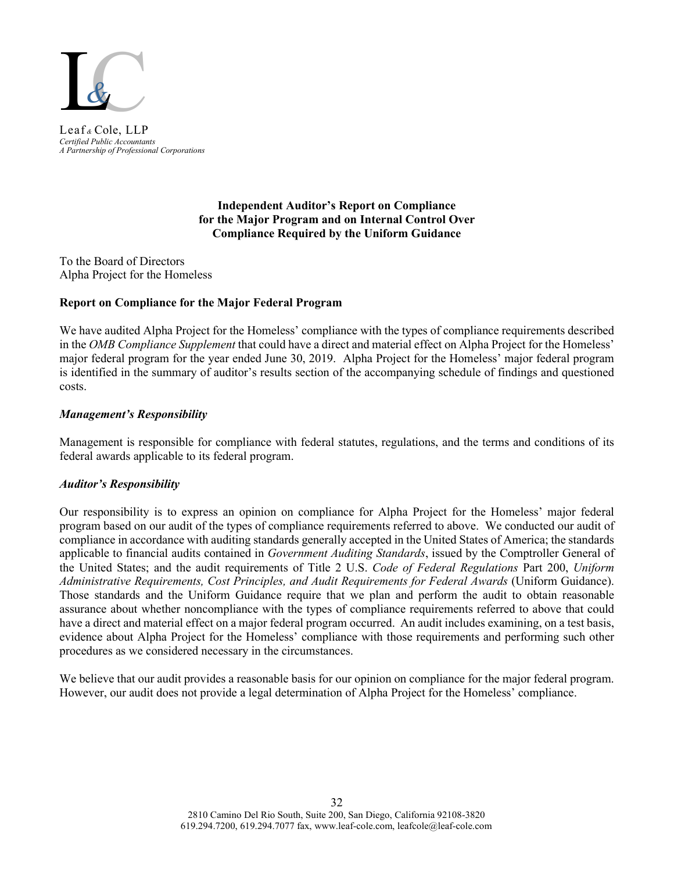

*Certified Public Accountants A Partnership of Professional Corporations* Leaf *&* Cole, LLP

> **Independent Auditor's Report on Compliance for the Major Program and on Internal Control Over Compliance Required by the Uniform Guidance**

To the Board of Directors Alpha Project for the Homeless

### **Report on Compliance for the Major Federal Program**

We have audited Alpha Project for the Homeless' compliance with the types of compliance requirements described in the *OMB Compliance Supplement* that could have a direct and material effect on Alpha Project for the Homeless' major federal program for the year ended June 30, 2019. Alpha Project for the Homeless' major federal program is identified in the summary of auditor's results section of the accompanying schedule of findings and questioned costs.

#### *Management's Responsibility*

Management is responsible for compliance with federal statutes, regulations, and the terms and conditions of its federal awards applicable to its federal program.

#### *Auditor's Responsibility*

Our responsibility is to express an opinion on compliance for Alpha Project for the Homeless' major federal program based on our audit of the types of compliance requirements referred to above. We conducted our audit of compliance in accordance with auditing standards generally accepted in the United States of America; the standards applicable to financial audits contained in *Government Auditing Standards*, issued by the Comptroller General of the United States; and the audit requirements of Title 2 U.S. *Code of Federal Regulations* Part 200, *Uniform Administrative Requirements, Cost Principles, and Audit Requirements for Federal Awards* (Uniform Guidance). Those standards and the Uniform Guidance require that we plan and perform the audit to obtain reasonable assurance about whether noncompliance with the types of compliance requirements referred to above that could have a direct and material effect on a major federal program occurred. An audit includes examining, on a test basis, evidence about Alpha Project for the Homeless' compliance with those requirements and performing such other procedures as we considered necessary in the circumstances.

We believe that our audit provides a reasonable basis for our opinion on compliance for the major federal program. However, our audit does not provide a legal determination of Alpha Project for the Homeless' compliance.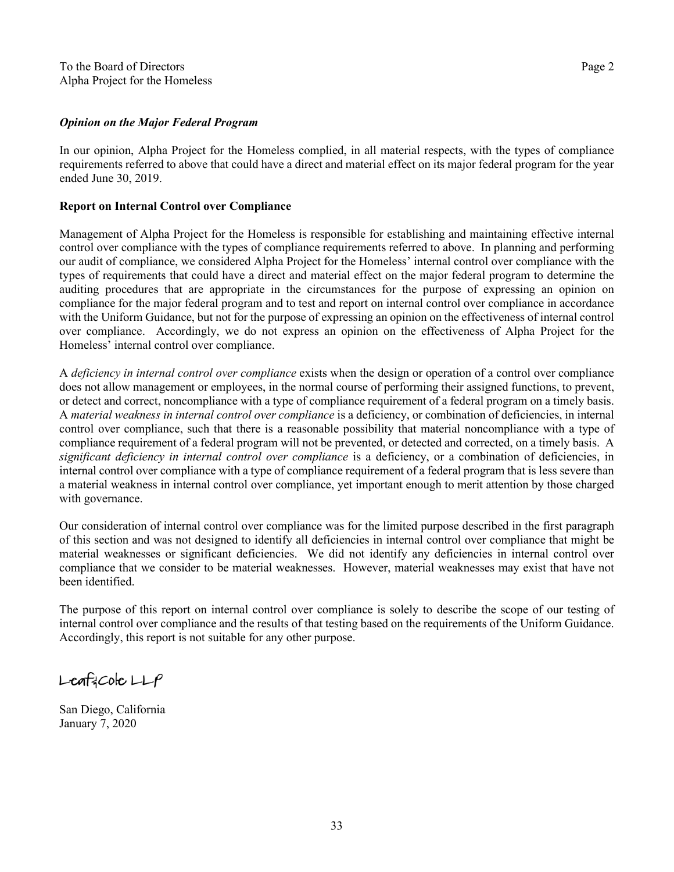#### *Opinion on the Major Federal Program*

In our opinion, Alpha Project for the Homeless complied, in all material respects, with the types of compliance requirements referred to above that could have a direct and material effect on its major federal program for the year ended June 30, 2019.

#### **Report on Internal Control over Compliance**

Management of Alpha Project for the Homeless is responsible for establishing and maintaining effective internal control over compliance with the types of compliance requirements referred to above. In planning and performing our audit of compliance, we considered Alpha Project for the Homeless' internal control over compliance with the types of requirements that could have a direct and material effect on the major federal program to determine the auditing procedures that are appropriate in the circumstances for the purpose of expressing an opinion on compliance for the major federal program and to test and report on internal control over compliance in accordance with the Uniform Guidance, but not for the purpose of expressing an opinion on the effectiveness of internal control over compliance. Accordingly, we do not express an opinion on the effectiveness of Alpha Project for the Homeless' internal control over compliance.

A *deficiency in internal control over compliance* exists when the design or operation of a control over compliance does not allow management or employees, in the normal course of performing their assigned functions, to prevent, or detect and correct, noncompliance with a type of compliance requirement of a federal program on a timely basis. A *material weakness in internal control over compliance* is a deficiency, or combination of deficiencies, in internal control over compliance, such that there is a reasonable possibility that material noncompliance with a type of compliance requirement of a federal program will not be prevented, or detected and corrected, on a timely basis. A *significant deficiency in internal control over compliance* is a deficiency, or a combination of deficiencies, in internal control over compliance with a type of compliance requirement of a federal program that is less severe than a material weakness in internal control over compliance, yet important enough to merit attention by those charged with governance.

Our consideration of internal control over compliance was for the limited purpose described in the first paragraph of this section and was not designed to identify all deficiencies in internal control over compliance that might be material weaknesses or significant deficiencies. We did not identify any deficiencies in internal control over compliance that we consider to be material weaknesses. However, material weaknesses may exist that have not been identified.

The purpose of this report on internal control over compliance is solely to describe the scope of our testing of internal control over compliance and the results of that testing based on the requirements of the Uniform Guidance. Accordingly, this report is not suitable for any other purpose.

 $LengthColeLLP$ 

San Diego, California January 7, 2020